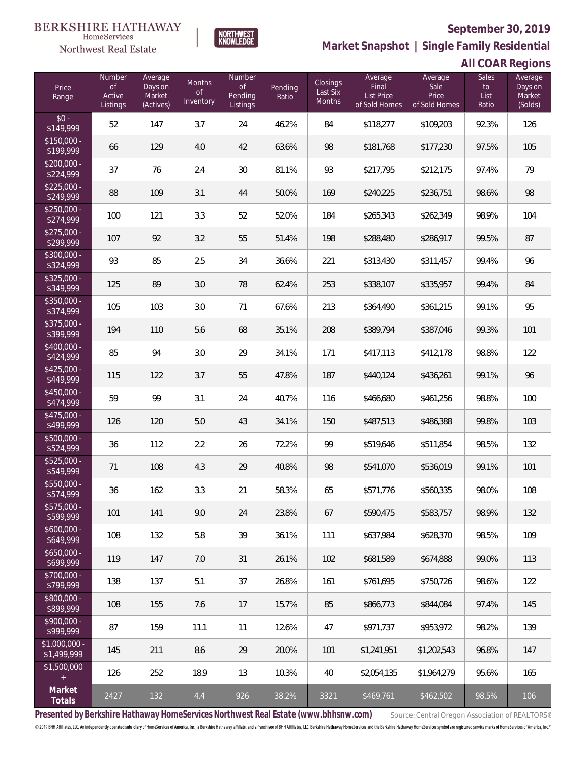

**NORTHWEST**<br>KNOWLEDGE

Northwest Real Estate

**Market Snapshot | Single Family Residential**

# **All COAR Regions**

| Price<br>Range                | Number<br><b>of</b><br>Active<br>Listings | Average<br>Days on<br>Market<br>(Actives) | <b>Months</b><br>0f<br>Inventory | <b>Number</b><br>$\mathsf{of}$<br>Pending<br>Listings | Pending<br>Ratio | Closings<br>Last Six<br>Months | Average<br>Final<br>List Price<br>of Sold Homes | Average<br>Sale<br>Price<br>of Sold Homes | Sales<br>to<br>List<br>Ratio | Average<br>Days on<br>Market<br>(Solds) |
|-------------------------------|-------------------------------------------|-------------------------------------------|----------------------------------|-------------------------------------------------------|------------------|--------------------------------|-------------------------------------------------|-------------------------------------------|------------------------------|-----------------------------------------|
| $$0 -$<br>\$149,999           | 52                                        | 147                                       | 3.7                              | 24                                                    | 46.2%            | 84                             | \$118,277                                       | \$109,203                                 | 92.3%                        | 126                                     |
| $$150,000 -$<br>\$199,999     | 66                                        | 129                                       | 4.0                              | 42                                                    | 63.6%            | 98                             | \$181,768                                       | \$177,230                                 | 97.5%                        | 105                                     |
| $$200,000 -$<br>\$224,999     | 37                                        | 76                                        | 2.4                              | 30                                                    | 81.1%            | 93                             | \$217,795                                       | \$212,175                                 | 97.4%                        | 79                                      |
| $$225,000 -$<br>\$249,999     | 88                                        | 109                                       | 3.1                              | 44                                                    | 50.0%            | 169                            | \$240,225                                       | \$236,751                                 | 98.6%                        | 98                                      |
| $$250,000 -$<br>\$274,999     | 100                                       | 121                                       | 3.3                              | 52                                                    | 52.0%            | 184                            | \$265,343                                       | \$262,349                                 | 98.9%                        | 104                                     |
| $$275,000 -$<br>\$299,999     | 107                                       | 92                                        | 3.2                              | 55                                                    | 51.4%            | 198                            | \$288,480                                       | \$286,917                                 | 99.5%                        | 87                                      |
| \$300,000 -<br>\$324,999      | 93                                        | 85                                        | 2.5                              | 34                                                    | 36.6%            | 221                            | \$313,430                                       | \$311,457                                 | 99.4%                        | 96                                      |
| $$325,000 -$<br>\$349,999     | 125                                       | 89                                        | 3.0                              | 78                                                    | 62.4%            | 253                            | \$338,107                                       | \$335,957                                 | 99.4%                        | 84                                      |
| \$350,000 -<br>\$374,999      | 105                                       | 103                                       | 3.0                              | 71                                                    | 67.6%            | 213                            | \$364,490                                       | \$361,215                                 | 99.1%                        | 95                                      |
| \$375,000 -<br>\$399,999      | 194                                       | 110                                       | 5.6                              | 68                                                    | 35.1%            | 208                            | \$389,794                                       | \$387,046                                 | 99.3%                        | 101                                     |
| \$400,000 -<br>\$424,999      | 85                                        | 94                                        | 3.0                              | 29                                                    | 34.1%            | 171                            | \$417,113                                       | \$412,178                                 | 98.8%                        | 122                                     |
| $$425,000 -$<br>\$449,999     | 115                                       | 122                                       | 3.7                              | 55                                                    | 47.8%            | 187                            | \$440,124                                       | \$436,261                                 | 99.1%                        | 96                                      |
| \$450,000 -<br>\$474,999      | 59                                        | 99                                        | 3.1                              | 24                                                    | 40.7%            | 116                            | \$466,680                                       | \$461,256                                 | 98.8%                        | 100                                     |
| \$475,000 -<br>\$499,999      | 126                                       | 120                                       | 5.0                              | 43                                                    | 34.1%            | 150                            | \$487,513                                       | \$486,388                                 | 99.8%                        | 103                                     |
| \$500,000 -<br>\$524,999      | 36                                        | 112                                       | 2.2                              | 26                                                    | 72.2%            | 99                             | \$519,646                                       | \$511,854                                 | 98.5%                        | 132                                     |
| $$525,000 -$<br>\$549,999     | 71                                        | 108                                       | 4.3                              | 29                                                    | 40.8%            | 98                             | \$541,070                                       | \$536,019                                 | 99.1%                        | 101                                     |
| \$550,000 -<br>\$574,999      | 36                                        | 162                                       | 3.3                              | 21                                                    | 58.3%            | 65                             | \$571,776                                       | \$560,335                                 | 98.0%                        | 108                                     |
| $$575,000 -$<br>\$599,999     | 101                                       | 141                                       | 9.0                              | 24                                                    | 23.8%            | 67                             | \$590.475                                       | \$583,757                                 | 98.9%                        | 132                                     |
| $$600,000 -$<br>\$649,999     | 108                                       | 132                                       | 5.8                              | 39                                                    | 36.1%            | 111                            | \$637.984                                       | \$628,370                                 | 98.5%                        | 109                                     |
| $$650,000 -$<br>\$699,999     | 119                                       | 147                                       | 7.0                              | 31                                                    | 26.1%            | 102                            | \$681.589                                       | \$674,888                                 | 99.0%                        | 113                                     |
| $$700,000 -$<br>\$799,999     | 138                                       | 137                                       | 5.1                              | 37                                                    | 26.8%            | 161                            | \$761,695                                       | \$750,726                                 | 98.6%                        | 122                                     |
| \$800,000 -<br>\$899,999      | 108                                       | 155                                       | 7.6                              | 17                                                    | 15.7%            | 85                             | \$866,773                                       | \$844,084                                 | 97.4%                        | 145                                     |
| $$900,000 -$<br>\$999,999     | 87                                        | 159                                       | 11.1                             | 11                                                    | 12.6%            | 47                             | \$971,737                                       | \$953,972                                 | 98.2%                        | 139                                     |
| $$1,000,000 -$<br>\$1,499,999 | 145                                       | 211                                       | 8.6                              | 29                                                    | 20.0%            | 101                            | \$1,241,951                                     | \$1,202,543                               | 96.8%                        | 147                                     |
| \$1,500,000<br>$+$            | 126                                       | 252                                       | 18.9                             | 13                                                    | 10.3%            | 40                             | \$2,054,135                                     | \$1,964,279                               | 95.6%                        | 165                                     |
| Market<br>Totals              | 2427                                      | 132                                       | 4.4                              | 926                                                   | 38.2%            | 3321                           | \$469,761                                       | \$462,502                                 | 98.5%                        | 106                                     |

Presented by Berkshire Hathaway HomeServices Northwest Real Estate (www.bhhsnw.com) source: Central Oregon Association of REALTORS®

© 2019 BHH Affiliates, LLC. An independently operated subsidiary of HomeServices of America, Inc., a Berkshire Hathaway affiliate, and a franchisee of BHH Affiliates, LLC. Berkshire Hathaway HomeServices and the Berkshire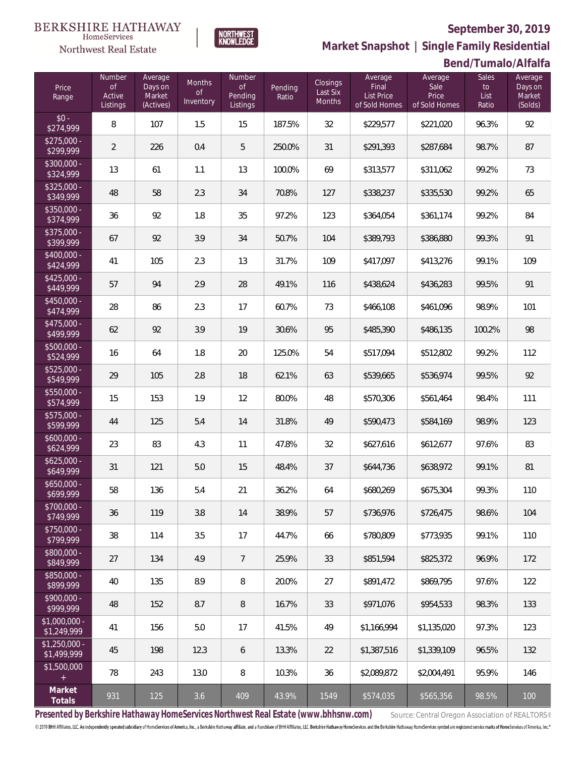

**NORTHWEST**<br>KNOWLEDGE

Northwest Real Estate

**Market Snapshot | Single Family Residential**

## **Bend/Tumalo/Alfalfa**

| Price<br>Range                | <b>Number</b><br><b>of</b><br>Active<br>Listings | Average<br>Days on<br>Market<br>(Actives) | <b>Months</b><br><b>of</b><br>Inventory | Number<br>$\mathop{\rm of}$<br>Pending<br>Listings | Pending<br>Ratio | Closings<br>Last Six<br>Months | Average<br>Final<br>List Price<br>of Sold Homes | Average<br>Sale<br>Price<br>of Sold Homes | <b>Sales</b><br>to<br>List<br>Ratio | Average<br>Days on<br>Market<br>(Solds) |
|-------------------------------|--------------------------------------------------|-------------------------------------------|-----------------------------------------|----------------------------------------------------|------------------|--------------------------------|-------------------------------------------------|-------------------------------------------|-------------------------------------|-----------------------------------------|
| $$0 -$<br>\$274,999           | 8                                                | 107                                       | 1.5                                     | 15                                                 | 187.5%           | 32                             | \$229,577                                       | \$221,020                                 | 96.3%                               | 92                                      |
| $$275,000 -$<br>\$299,999     | $\overline{2}$                                   | 226                                       | 0.4                                     | 5                                                  | 250.0%           | 31                             | \$291,393                                       | \$287,684                                 | 98.7%                               | 87                                      |
| \$300,000 -<br>\$324,999      | 13                                               | 61                                        | 1.1                                     | 13                                                 | 100.0%           | 69                             | \$313,577                                       | \$311,062                                 | 99.2%                               | 73                                      |
| \$325,000 -<br>\$349,999      | 48                                               | 58                                        | 2.3                                     | 34                                                 | 70.8%            | 127                            | \$338,237                                       | \$335,530                                 | 99.2%                               | 65                                      |
| \$350,000 -<br>\$374,999      | 36                                               | 92                                        | 1.8                                     | 35                                                 | 97.2%            | 123                            | \$364,054                                       | \$361,174                                 | 99.2%                               | 84                                      |
| \$375,000 -<br>\$399,999      | 67                                               | 92                                        | 3.9                                     | 34                                                 | 50.7%            | 104                            | \$389,793                                       | \$386,880                                 | 99.3%                               | 91                                      |
| \$400,000 -<br>\$424,999      | 41                                               | 105                                       | 2.3                                     | 13                                                 | 31.7%            | 109                            | \$417,097                                       | \$413,276                                 | 99.1%                               | 109                                     |
| $$425,000 -$<br>\$449,999     | 57                                               | 94                                        | 2.9                                     | 28                                                 | 49.1%            | 116                            | \$438,624                                       | \$436,283                                 | 99.5%                               | 91                                      |
| \$450,000 -<br>\$474,999      | 28                                               | 86                                        | 2.3                                     | 17                                                 | 60.7%            | 73                             | \$466,108                                       | \$461,096                                 | 98.9%                               | 101                                     |
| \$475,000 -<br>\$499,999      | 62                                               | 92                                        | 3.9                                     | 19                                                 | 30.6%            | 95                             | \$485,390                                       | \$486,135                                 | 100.2%                              | 98                                      |
| \$500,000 -<br>\$524,999      | 16                                               | 64                                        | 1.8                                     | 20                                                 | 125.0%           | 54                             | \$517,094                                       | \$512,802                                 | 99.2%                               | 112                                     |
| \$525,000 -<br>\$549,999      | 29                                               | 105                                       | 2.8                                     | 18                                                 | 62.1%            | 63                             | \$539,665                                       | \$536,974                                 | 99.5%                               | 92                                      |
| \$550,000 -<br>\$574,999      | 15                                               | 153                                       | 1.9                                     | 12                                                 | 80.0%            | 48                             | \$570,306                                       | \$561,464                                 | 98.4%                               | 111                                     |
| \$575,000 -<br>\$599,999      | 44                                               | 125                                       | 5.4                                     | 14                                                 | 31.8%            | 49                             | \$590,473                                       | \$584,169                                 | 98.9%                               | 123                                     |
| \$600,000 -<br>\$624,999      | 23                                               | 83                                        | 4.3                                     | 11                                                 | 47.8%            | 32                             | \$627,616                                       | \$612,677                                 | 97.6%                               | 83                                      |
| $$625,000 -$<br>\$649,999     | 31                                               | 121                                       | 5.0                                     | 15                                                 | 48.4%            | 37                             | \$644,736                                       | \$638,972                                 | 99.1%                               | 81                                      |
| $$650,000 -$<br>\$699,999     | 58                                               | 136                                       | 5.4                                     | 21                                                 | 36.2%            | 64                             | \$680,269                                       | \$675,304                                 | 99.3%                               | 110                                     |
| \$700,000 -<br>\$749,999      | 36                                               | 119                                       | 3.8                                     | 14                                                 | 38.9%            | 57                             | \$736,976                                       | \$726,475                                 | 98.6%                               | 104                                     |
| \$750,000 -<br>\$799,999      | 38                                               | 114                                       | 3.5                                     | 17                                                 | 44.7%            | 66                             | \$780.809                                       | \$773,935                                 | 99.1%                               | 110                                     |
| \$800,000 -<br>\$849,999      | 27                                               | 134                                       | 4.9                                     | 7                                                  | 25.9%            | 33                             | \$851,594                                       | \$825,372                                 | 96.9%                               | 172                                     |
| \$850,000 -<br>\$899,999      | 40                                               | 135                                       | 8.9                                     | 8                                                  | 20.0%            | 27                             | \$891,472                                       | \$869,795                                 | 97.6%                               | 122                                     |
| \$900,000 -<br>\$999,999      | 48                                               | 152                                       | 8.7                                     | 8                                                  | 16.7%            | 33                             | \$971,076                                       | \$954,533                                 | 98.3%                               | 133                                     |
| $$1,000,000 -$<br>\$1,249,999 | 41                                               | 156                                       | 5.0                                     | 17                                                 | 41.5%            | 49                             | \$1,166,994                                     | \$1,135,020                               | 97.3%                               | 123                                     |
| $$1,250,000 -$<br>\$1,499,999 | 45                                               | 198                                       | 12.3                                    | 6                                                  | 13.3%            | 22                             | \$1,387,516                                     | \$1,339,109                               | 96.5%                               | 132                                     |
| \$1,500,000<br>$+$            | 78                                               | 243                                       | 13.0                                    | 8                                                  | 10.3%            | 36                             | \$2,089,872                                     | \$2,004,491                               | 95.9%                               | 146                                     |
| Market<br>Totals              | 931                                              | 125                                       | 3.6                                     | 409                                                | 43.9%            | 1549                           | \$574,035                                       | \$565,356                                 | 98.5%                               | 100                                     |

Presented by Berkshire Hathaway HomeServices Northwest Real Estate (www.bhhsnw.com) source: Central Oregon Association of REALTORS®

© 2019 BHH Affiliates, LLC. An independently operated subsidiary of HomeServices of America, Inc., a Berkshire Hathaway affiliate, and a franchisee of BHH Affiliates, LLC. Berkshire Hathaway HomeServices and the Berkshire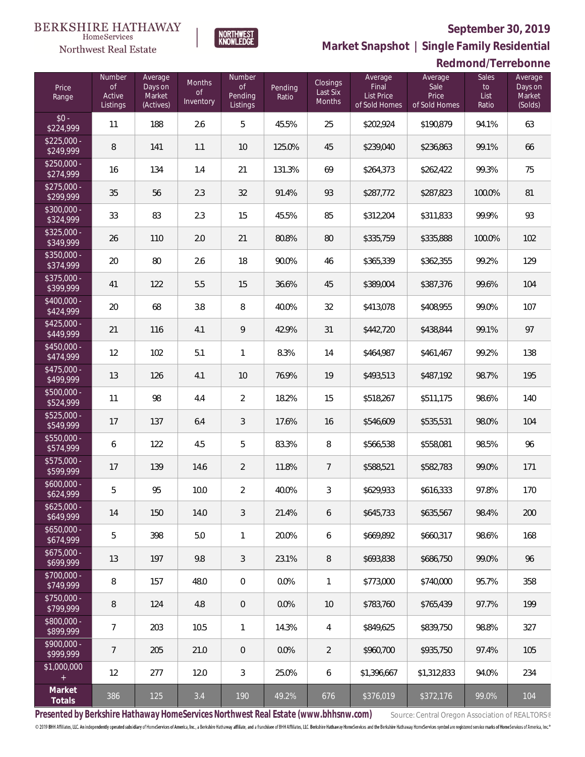

NORTHWEST<br>KNOWLEDGE

Northwest Real Estate

**Market Snapshot | Single Family Residential**

|                                  | Redmond/Terrebonne                            |                                           |                           |                                                |                  |                                |                                                 |                                           |                                         |                                         |
|----------------------------------|-----------------------------------------------|-------------------------------------------|---------------------------|------------------------------------------------|------------------|--------------------------------|-------------------------------------------------|-------------------------------------------|-----------------------------------------|-----------------------------------------|
| Price<br>Range                   | Number<br>$\mathsf{of}$<br>Active<br>Listings | Average<br>Days on<br>Market<br>(Actives) | Months<br>of<br>Inventory | Number<br>$\mathsf{of}$<br>Pending<br>Listings | Pending<br>Ratio | Closings<br>Last Six<br>Months | Average<br>Final<br>List Price<br>of Sold Homes | Average<br>Sale<br>Price<br>of Sold Homes | Sales<br>$\mathsf{to}$<br>List<br>Ratio | Average<br>Days on<br>Market<br>(Solds) |
| $$0 -$<br>\$224,999              | 11                                            | 188                                       | 2.6                       | 5                                              | 45.5%            | 25                             | \$202,924                                       | \$190,879                                 | 94.1%                                   | 63                                      |
| $$225,000 -$<br>\$249,999        | 8                                             | 141                                       | 1.1                       | 10                                             | 125.0%           | 45                             | \$239,040                                       | \$236,863                                 | 99.1%                                   | 66                                      |
| $$250,000 -$<br>\$274,999        | 16                                            | 134                                       | 1.4                       | 21                                             | 131.3%           | 69                             | \$264,373                                       | \$262,422                                 | 99.3%                                   | 75                                      |
| $$275,000 -$<br>\$299,999        | 35                                            | 56                                        | 2.3                       | 32                                             | 91.4%            | 93                             | \$287,772                                       | \$287,823                                 | 100.0%                                  | 81                                      |
| $$300,000 -$<br>\$324,999        | 33                                            | 83                                        | 2.3                       | 15                                             | 45.5%            | 85                             | \$312,204                                       | \$311,833                                 | 99.9%                                   | 93                                      |
| $$325,000 -$<br>\$349,999        | 26                                            | 110                                       | 2.0                       | 21                                             | 80.8%            | 80                             | \$335,759                                       | \$335,888                                 | 100.0%                                  | 102                                     |
| $$350,000 -$<br>\$374,999        | 20                                            | 80                                        | 2.6                       | 18                                             | 90.0%            | 46                             | \$365,339                                       | \$362,355                                 | 99.2%                                   | 129                                     |
| $$375,000 -$<br>\$399,999        | 41                                            | 122                                       | 5.5                       | 15                                             | 36.6%            | 45                             | \$389,004                                       | \$387,376                                 | 99.6%                                   | 104                                     |
| $$400,000 -$<br>\$424,999        | 20                                            | 68                                        | $3.8\,$                   | 8                                              | 40.0%            | 32                             | \$413,078                                       | \$408,955                                 | 99.0%                                   | 107                                     |
| $$425,000 -$<br>\$449,999        | 21                                            | 116                                       | 4.1                       | 9                                              | 42.9%            | 31                             | \$442,720                                       | \$438,844                                 | 99.1%                                   | 97                                      |
| $\sqrt{$450,000}$ -<br>\$474,999 | 12                                            | 102                                       | 5.1                       | 1                                              | 8.3%             | 14                             | \$464,987                                       | \$461,467                                 | 99.2%                                   | 138                                     |
| \$475,000 -<br>\$499,999         | 13                                            | 126                                       | 4.1                       | 10                                             | 76.9%            | 19                             | \$493,513                                       | \$487,192                                 | 98.7%                                   | 195                                     |
| \$500,000 -<br>\$524,999         | 11                                            | 98                                        | 4.4                       | $\overline{2}$                                 | 18.2%            | 15                             | \$518,267                                       | \$511,175                                 | 98.6%                                   | 140                                     |
| \$525,000 -<br>\$549,999         | 17                                            | 137                                       | 6.4                       | 3                                              | 17.6%            | 16                             | \$546,609                                       | \$535,531                                 | 98.0%                                   | 104                                     |
| \$550,000 -<br>\$574,999         | 6                                             | 122                                       | 4.5                       | 5                                              | 83.3%            | 8                              | \$566,538                                       | \$558,081                                 | 98.5%                                   | 96                                      |
| \$575,000 -<br>\$599,999         | 17                                            | 139                                       | 14.6                      | $\overline{2}$                                 | 11.8%            | 7                              | \$588,521                                       | \$582,783                                 | 99.0%                                   | 171                                     |
| $$600.000 -$<br>\$624,999        | 5                                             | 95                                        | 10.0                      | $\overline{2}$                                 | 40.0%            | 3                              | \$629,933                                       | \$616,333                                 | 97.8%                                   | 170                                     |
| $$625,000 -$<br>\$649,999        | 14                                            | 150                                       | 14.0                      | 3                                              | 21.4%            | 6                              | \$645,733                                       | \$635,567                                 | 98.4%                                   | 200                                     |
| $$650,000 -$<br>\$674,999        | 5                                             | 398                                       | 5.0                       | 1                                              | 20.0%            | 6                              | \$669.892                                       | \$660,317                                 | 98.6%                                   | 168                                     |
| $$675,000 -$<br>\$699,999        | 13                                            | 197                                       | 9.8                       | 3                                              | 23.1%            | 8                              | \$693,838                                       | \$686.750                                 | 99.0%                                   | 96                                      |
| \$700,000 -<br>\$749,999         | 8                                             | 157                                       | 48.0                      | $\overline{0}$                                 | 0.0%             | $\mathbf{1}$                   | \$773.000                                       | \$740,000                                 | 95.7%                                   | 358                                     |
| \$750,000 -<br>\$799,999         | 8                                             | 124                                       | 4.8                       | 0                                              | 0.0%             | 10                             | \$783,760                                       | \$765,439                                 | 97.7%                                   | 199                                     |
| \$800,000 -<br>\$899,999         | $\overline{7}$                                | 203                                       | 10.5                      | $\mathbf{1}$                                   | 14.3%            | 4                              | \$849,625                                       | \$839,750                                 | 98.8%                                   | 327                                     |
| \$900,000 -<br>\$999,999         | $\overline{7}$                                | 205                                       | 21.0                      | $\overline{0}$                                 | 0.0%             | 2                              | \$960,700                                       | \$935,750                                 | 97.4%                                   | 105                                     |
| \$1,000,000<br>$+$               | 12                                            | 277                                       | 12.0                      | 3                                              | 25.0%            | 6                              | \$1,396,667                                     | \$1,312,833                               | 94.0%                                   | 234                                     |
| Market<br>Totals                 | 386                                           | 125                                       | 3.4                       | 190                                            | 49.2%            | 676                            | \$376,019                                       | \$372,176                                 | 99.0%                                   | 104                                     |

Presented by Berkshire Hathaway HomeServices Northwest Real Estate (www.bhhsnw.com) source: Central Oregon Association of REALTORS®

© 2019 BHH Affiliates, LLC. An independently operated subsidiary of HomeServices of America, Inc., a Berkshire Hathaway affiliate, and a franchisee of BHH Affiliates, LLC. Berkshire Hathaway HomeServices and the Berkshire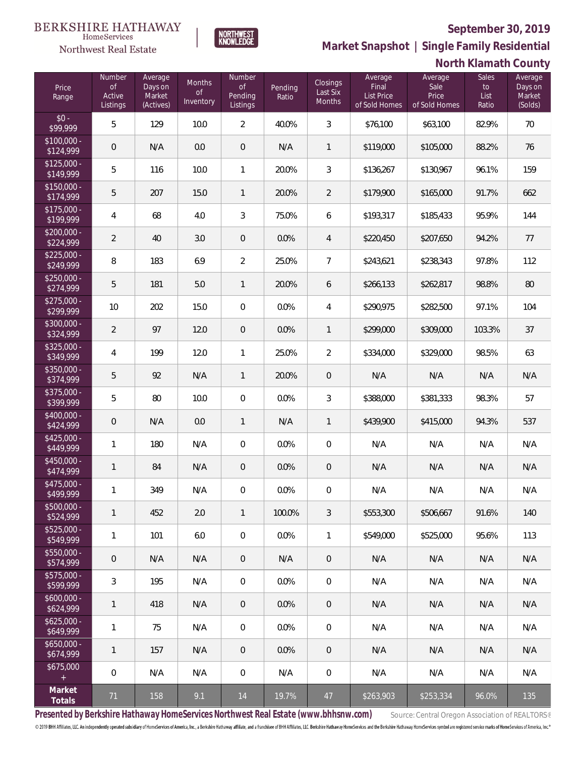**North Klamath County**



NORTHWEST<br>KNOWLFDGE

Northwest Real Estate

 $\frac{1}{60}$ 

 $\frac{1}{6}$ 

 $\frac{1}{6}$ 

**Market Snapshot | Single Family Residential**

| Price<br>Range            | Number<br><b>of</b><br>Active<br>Listings | Average<br>Days on<br>Market<br>(Actives) | Months<br><b>of</b><br>Inventory | Number<br><b>of</b><br>Pending<br>Listings | Pending<br>Ratio | <b>Closings</b><br>Last Six<br>Months | Average<br>Final<br><b>List Price</b><br>of Sold Homes | Average<br>Sale<br>Price<br>of Sold Homes | Sales<br>to<br>List<br>Ratio | Average<br>Days on<br>Market<br>(Solds) |
|---------------------------|-------------------------------------------|-------------------------------------------|----------------------------------|--------------------------------------------|------------------|---------------------------------------|--------------------------------------------------------|-------------------------------------------|------------------------------|-----------------------------------------|
| $$0 -$<br>\$99,999        | 5                                         | 129                                       | 10.0                             | 2                                          | 40.0%            | 3                                     | \$76,100                                               | \$63,100                                  | 82.9%                        | 70                                      |
| \$100,000 -<br>\$124,999  | $\theta$                                  | N/A                                       | 0.0                              | $\overline{0}$                             | N/A              | 1                                     | \$119,000                                              | \$105,000                                 | 88.2%                        | 76                                      |
| \$125,000 -<br>\$149,999  | 5                                         | 116                                       | 10.0                             | 1                                          | 20.0%            | 3                                     | \$136,267                                              | \$130,967                                 | 96.1%                        | 159                                     |
| \$150,000 -<br>\$174,999  | 5                                         | 207                                       | 15.0                             | 1                                          | 20.0%            | 2                                     | \$179,900                                              | \$165,000                                 | 91.7%                        | 662                                     |
| \$175,000 -<br>\$199,999  | 4                                         | 68                                        | 4.0                              | 3                                          | 75.0%            | 6                                     | \$193,317                                              | \$185,433                                 | 95.9%                        | 144                                     |
| \$200,000 -<br>\$224,999  | 2                                         | 40                                        | 3.0                              | $\overline{0}$                             | 0.0%             | 4                                     | \$220,450                                              | \$207,650                                 | 94.2%                        | 77                                      |
| \$225,000 -<br>\$249,999  | 8                                         | 183                                       | 6.9                              | $\overline{2}$                             | 25.0%            | 7                                     | \$243,621                                              | \$238,343                                 | 97.8%                        | 112                                     |
| \$250,000 -<br>\$274,999  | 5                                         | 181                                       | 5.0                              | $\mathbf{1}$                               | 20.0%            | 6                                     | \$266,133                                              | \$262,817                                 | 98.8%                        | 80                                      |
| \$275,000 -<br>\$299,999  | 10                                        | 202                                       | 15.0                             | $\overline{0}$                             | 0.0%             | 4                                     | \$290,975                                              | \$282,500                                 | 97.1%                        | 104                                     |
| \$300,000 -<br>\$324,999  | 2                                         | 97                                        | 12.0                             | $\overline{0}$                             | 0.0%             | 1                                     | \$299,000                                              | \$309,000                                 | 103.3%                       | 37                                      |
| \$325,000 -<br>\$349,999  | 4                                         | 199                                       | 12.0                             | 1                                          | 25.0%            | 2                                     | \$334,000                                              | \$329,000                                 | 98.5%                        | 63                                      |
| \$350,000 -<br>\$374,999  | 5                                         | 92                                        | N/A                              | 1                                          | 20.0%            | $\mathbf 0$                           | N/A                                                    | N/A                                       | N/A                          | N/A                                     |
| \$375,000 -<br>\$399,999  | 5                                         | 80                                        | 10.0                             | 0                                          | 0.0%             | 3                                     | \$388,000                                              | \$381,333                                 | 98.3%                        | 57                                      |
| \$400,000 -<br>\$424,999  | 0                                         | N/A                                       | 0.0                              | 1                                          | N/A              | 1                                     | \$439,900                                              | \$415,000                                 | 94.3%                        | 537                                     |
| \$425,000 -<br>\$449,999  | 1                                         | 180                                       | N/A                              | 0                                          | 0.0%             | 0                                     | N/A                                                    | N/A                                       | N/A                          | N/A                                     |
| \$450,000 -<br>\$474,999  | 1                                         | 84                                        | N/A                              | $\overline{0}$                             | $0.0\%$          | $\mathbf 0$                           | N/A                                                    | N/A                                       | N/A                          | N/A                                     |
| \$475,000 -<br>\$499,999  | 1                                         | 349                                       | N/A                              | 0                                          | 0.0%             | $\mathbf 0$                           | N/A                                                    | N/A                                       | N/A                          | N/A                                     |
| $$500,000 -$<br>\$524,999 | 1                                         | 452                                       | 2.0                              | $\mathbf{1}$                               | 100.0%           | 3                                     | \$553,300                                              | \$506,667                                 | 91.6%                        | 140                                     |
| \$525,000 -<br>\$549,999  | 1                                         | 101                                       | 6.0                              | 0                                          | 0.0%             | 1                                     | \$549,000                                              | \$525,000                                 | 95.6%                        | 113                                     |
| \$550,000 -<br>\$574,999  | 0                                         | N/A                                       | N/A                              | 0                                          | N/A              | $\theta$                              | N/A                                                    | N/A                                       | N/A                          | N/A                                     |
| \$575,000 -<br>\$599,999  | 3                                         | 195                                       | N/A                              | 0                                          | 0.0%             | $\overline{0}$                        | N/A                                                    | N/A                                       | N/A                          | N/A                                     |
| \$600,000 -<br>\$624,999  | 1                                         | 418                                       | N/A                              | 0                                          | 0.0%             | $\theta$                              | N/A                                                    | N/A                                       | N/A                          | N/A                                     |
| \$625,000 -<br>\$649,999  | 1                                         | 75                                        | N/A                              | 0                                          | 0.0%             | $\overline{0}$                        | N/A                                                    | N/A                                       | N/A                          | N/A                                     |
| \$650,000 -<br>\$674,999  | 1                                         | 157                                       | N/A                              | $\mathbf 0$                                | 0.0%             | 0                                     | N/A                                                    | N/A                                       | N/A                          | N/A                                     |
| \$675,000<br>$\pm$        | 0                                         | N/A                                       | N/A                              | 0                                          | N/A              | $\overline{0}$                        | N/A                                                    | N/A                                       | N/A                          | N/A                                     |
| Market<br>Totals          | 71                                        | 158                                       | 9.1                              | 14                                         | 19.7%            | 47                                    | \$263,903                                              | \$253,334                                 | 96.0%                        | 135                                     |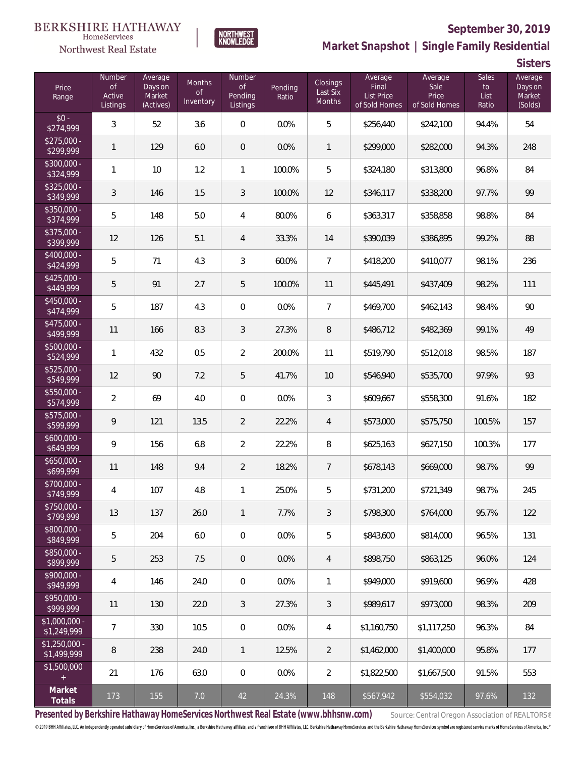### BERKSHIRE HATHAWAY HomeServices

Northwest Real Estate



# **September 30, 2019**

**Market Snapshot | Single Family Residential**

**Sisters**

| Price<br>Range                | Number<br><b>of</b><br>Active<br>Listings | Average<br>Days on<br>Market<br>(Actives) | <b>Months</b><br><b>of</b><br>Inventory | Number<br><b>of</b><br>Pending<br>Listings | Pending<br>Ratio | Closings<br>Last Six<br>Months | Average<br>Final<br><b>List Price</b><br>of Sold Homes | Average<br>Sale<br>Price<br>of Sold Homes | <b>Sales</b><br>to<br>List<br>Ratio | Average<br>Days on<br>Market<br>(Solds) |
|-------------------------------|-------------------------------------------|-------------------------------------------|-----------------------------------------|--------------------------------------------|------------------|--------------------------------|--------------------------------------------------------|-------------------------------------------|-------------------------------------|-----------------------------------------|
| $$0 -$<br>\$274,999           | $\mathfrak{Z}$                            | 52                                        | 3.6                                     | $\mathbf 0$                                | 0.0%             | 5                              | \$256,440                                              | \$242,100                                 | 94.4%                               | 54                                      |
| $$275,000 -$<br>\$299,999     | $\mathbf{1}$                              | 129                                       | 6.0                                     | $\mathbf 0$                                | 0.0%             | 1                              | \$299,000                                              | \$282,000                                 | 94.3%                               | 248                                     |
| \$300,000 -<br>\$324,999      | $\mathbf{1}$                              | 10                                        | 1.2                                     | $\mathbf{1}$                               | 100.0%           | 5                              | \$324,180                                              | \$313,800                                 | 96.8%                               | 84                                      |
| $$325,000 -$<br>\$349,999     | $\sqrt{3}$                                | 146                                       | 1.5                                     | $\mathfrak{Z}$                             | 100.0%           | 12                             | \$346,117                                              | \$338,200                                 | 97.7%                               | 99                                      |
| \$350,000 -<br>\$374,999      | 5                                         | 148                                       | 5.0                                     | 4                                          | 80.0%            | 6                              | \$363,317                                              | \$358,858                                 | 98.8%                               | 84                                      |
| \$375,000 -<br>\$399,999      | 12                                        | 126                                       | 5.1                                     | $\overline{4}$                             | 33.3%            | 14                             | \$390,039                                              | \$386,895                                 | 99.2%                               | 88                                      |
| \$400,000 -<br>\$424,999      | 5                                         | 71                                        | 4.3                                     | 3                                          | 60.0%            | $\overline{7}$                 | \$418,200                                              | \$410,077                                 | 98.1%                               | 236                                     |
| $$425,000 -$<br>\$449,999     | $\mathbf 5$                               | 91                                        | 2.7                                     | 5                                          | 100.0%           | 11                             | \$445,491                                              | \$437,409                                 | 98.2%                               | 111                                     |
| \$450,000 -<br>\$474,999      | 5                                         | 187                                       | 4.3                                     | $\boldsymbol{0}$                           | 0.0%             | $\overline{7}$                 | \$469,700                                              | \$462,143                                 | 98.4%                               | 90                                      |
| \$475,000 -<br>\$499,999      | 11                                        | 166                                       | 8.3                                     | 3                                          | 27.3%            | $\, 8$                         | \$486,712                                              | \$482,369                                 | 99.1%                               | 49                                      |
| \$500,000 -<br>\$524,999      | $\mathbf{1}$                              | 432                                       | 0.5                                     | $\overline{2}$                             | 200.0%           | 11                             | \$519,790                                              | \$512,018                                 | 98.5%                               | 187                                     |
| \$525,000 -<br>\$549,999      | 12                                        | 90                                        | 7.2                                     | 5                                          | 41.7%            | 10                             | \$546,940                                              | \$535,700                                 | 97.9%                               | 93                                      |
| \$550,000 -<br>\$574,999      | $\overline{2}$                            | 69                                        | 4.0                                     | $\boldsymbol{0}$                           | 0.0%             | 3                              | \$609,667                                              | \$558,300                                 | 91.6%                               | 182                                     |
| $$575,000 -$<br>\$599,999     | $\mathcal{Q}$                             | 121                                       | 13.5                                    | $\overline{2}$                             | 22.2%            | $\overline{4}$                 | \$573,000                                              | \$575,750                                 | 100.5%                              | 157                                     |
| $$600,000 -$<br>\$649,999     | 9                                         | 156                                       | 6.8                                     | $\overline{2}$                             | 22.2%            | 8                              | \$625,163                                              | \$627,150                                 | 100.3%                              | 177                                     |
| $$650,000 -$<br>\$699,999     | 11                                        | 148                                       | 9.4                                     | $\overline{2}$                             | 18.2%            | $\overline{7}$                 | \$678,143                                              | \$669,000                                 | 98.7%                               | 99                                      |
| \$700,000 -<br>\$749,999      | 4                                         | 107                                       | 4.8                                     | $\mathbf{1}$                               | 25.0%            | 5                              | \$731,200                                              | \$721,349                                 | 98.7%                               | 245                                     |
| \$750,000 -<br>\$799,999      | 13                                        | 137                                       | 26.0                                    | $\mathbf{1}$                               | 7.7%             | 3                              | \$798,300                                              | \$764,000                                 | 95.7%                               | 122                                     |
| $$800,000 -$<br>\$849,999     | 5                                         | 204                                       | 6.0                                     | 0                                          | 0.0%             | 5                              | \$843,600                                              | \$814,000                                 | 96.5%                               | 131                                     |
| $$850,000 -$<br>\$899,999     | 5                                         | 253                                       | 7.5                                     | $\theta$                                   | 0.0%             | 4                              | \$898,750                                              | \$863.125                                 | 96.0%                               | 124                                     |
| $$900,000 -$<br>\$949,999     | $\overline{4}$                            | 146                                       | 24.0                                    | 0                                          | 0.0%             | 1                              | \$949,000                                              | \$919,600                                 | 96.9%                               | 428                                     |
| $$950,000 -$<br>\$999,999     | 11                                        | 130                                       | 22.0                                    | 3                                          | 27.3%            | 3                              | \$989,617                                              | \$973,000                                 | 98.3%                               | 209                                     |
| $$1,000,000 -$<br>\$1,249,999 | $\overline{7}$                            | 330                                       | 10.5                                    | 0                                          | 0.0%             | 4                              | \$1,160,750                                            | \$1,117,250                               | 96.3%                               | 84                                      |
| $$1,250,000 -$<br>\$1,499,999 | 8                                         | 238                                       | 24.0                                    | $\mathbf{1}$                               | 12.5%            | 2                              | \$1,462,000                                            | \$1,400,000                               | 95.8%                               | 177                                     |
| \$1,500,000<br>$+$            | 21                                        | 176                                       | 63.0                                    | 0                                          | 0.0%             | $\overline{2}$                 | \$1,822,500                                            | \$1,667,500                               | 91.5%                               | 553                                     |
| Market<br>Totals              | 173                                       | 155                                       | 7.0                                     | 42                                         | 24.3%            | 148                            | \$567,942                                              | \$554,032                                 | 97.6%                               | 132                                     |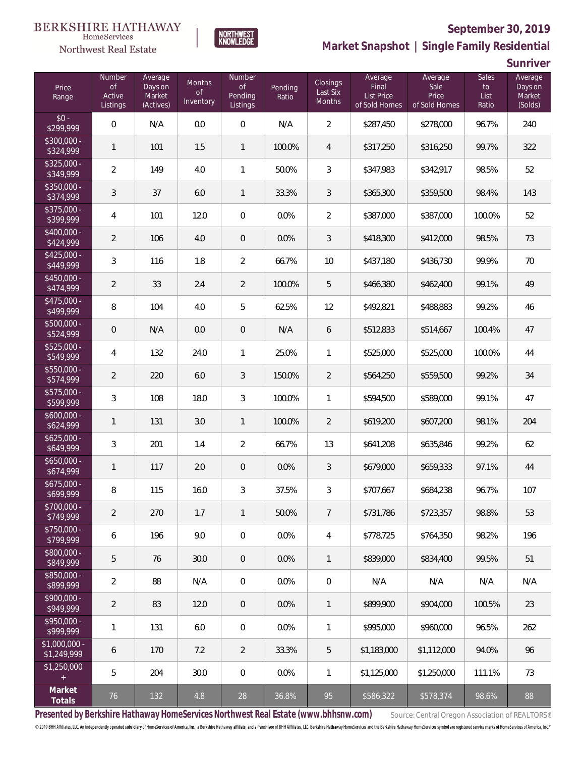### **BERKSHIRE HATHAWAY** HomeServices



### **September 30, 2019**

**Market Snapshot | Single Family Residential**

**Sunriver**

| Price<br>Range                                  | Number<br><b>of</b><br>Active<br>Listings | Average<br>Days on<br>Market<br>(Actives) | Months<br><b>of</b><br>Inventory | Number<br>$\mathsf{of}$<br>Pending<br>Listings | Pending<br>Ratio | Closings<br>Last Six<br>Months | Average<br>Final<br>List Price<br>of Sold Homes | Average<br>Sale<br>Price<br>of Sold Homes | Sales<br>to<br>List<br>Ratio | Average<br>Days on<br>Market<br>(Solds) |
|-------------------------------------------------|-------------------------------------------|-------------------------------------------|----------------------------------|------------------------------------------------|------------------|--------------------------------|-------------------------------------------------|-------------------------------------------|------------------------------|-----------------------------------------|
| $$0 -$<br>\$299,999                             | $\overline{0}$                            | N/A                                       | 0.0                              | 0                                              | N/A              | $\overline{2}$                 | \$287,450                                       | \$278,000                                 | 96.7%                        | 240                                     |
| $$300.000 -$<br>\$324,999                       | $\mathbf{1}$                              | 101                                       | 1.5                              | $\mathbf{1}$                                   | 100.0%           | 4                              | \$317,250                                       | \$316,250                                 | 99.7%                        | 322                                     |
| $$325,000 -$<br>\$349,999                       | $\overline{2}$                            | 149                                       | 4.0                              | 1                                              | 50.0%            | 3                              | \$347,983                                       | \$342,917                                 | 98.5%                        | 52                                      |
| $$350.000 -$<br>\$374,999                       | $\mathfrak{Z}$                            | 37                                        | 6.0                              | $\mathbf{1}$                                   | 33.3%            | 3                              | \$365,300                                       | \$359,500                                 | 98.4%                        | 143                                     |
| \$375,000 -<br>\$399,999                        | $\overline{4}$                            | 101                                       | 12.0                             | $\mathbf 0$                                    | 0.0%             | $\overline{2}$                 | \$387,000                                       | \$387,000                                 | 100.0%                       | 52                                      |
| \$400,000 -<br>\$424,999                        | $\overline{2}$                            | 106                                       | 4.0                              | $\mathbf 0$                                    | 0.0%             | 3                              | \$418,300                                       | \$412,000                                 | 98.5%                        | 73                                      |
| $$425,000 -$<br>\$449,999                       | 3                                         | 116                                       | 1.8                              | $\overline{2}$                                 | 66.7%            | 10                             | \$437,180                                       | \$436,730                                 | 99.9%                        | 70                                      |
| $$450,000 -$<br>\$474,999                       | $\overline{2}$                            | 33                                        | 2.4                              | $\overline{2}$                                 | 100.0%           | 5                              | \$466,380                                       | \$462,400                                 | 99.1%                        | 49                                      |
| $$475,000 -$<br>\$499,999                       | 8                                         | 104                                       | 4.0                              | 5                                              | 62.5%            | 12                             | \$492,821                                       | \$488,883                                 | 99.2%                        | 46                                      |
| \$500,000 -<br>\$524,999                        | $\mathbf 0$                               | N/A                                       | 0.0                              | $\mathbf 0$                                    | N/A              | 6                              | \$512,833                                       | \$514,667                                 | 100.4%                       | 47                                      |
| \$525,000 -<br>\$549,999                        | $\overline{4}$                            | 132                                       | 24.0                             | 1                                              | 25.0%            | 1                              | \$525,000                                       | \$525,000                                 | 100.0%                       | 44                                      |
| \$550,000 -<br>\$574,999                        | $\overline{2}$                            | 220                                       | 6.0                              | $\sqrt{3}$                                     | 150.0%           | $\overline{2}$                 | \$564,250                                       | \$559,500                                 | 99.2%                        | 34                                      |
| \$575,000 -<br>\$599,999                        | $\mathfrak{Z}$                            | 108                                       | 18.0                             | 3                                              | 100.0%           | 1                              | \$594,500                                       | \$589,000                                 | 99.1%                        | 47                                      |
| $$600,000 -$<br>\$624,999                       | $\mathbf{1}$                              | 131                                       | 3.0                              | $\mathbf{1}$                                   | 100.0%           | $\overline{2}$                 | \$619,200                                       | \$607,200                                 | 98.1%                        | 204                                     |
| $$625,000 -$<br>\$649,999                       | $\mathfrak{Z}$                            | 201                                       | 1.4                              | $\overline{2}$                                 | 66.7%            | 13                             | \$641,208                                       | \$635,846                                 | 99.2%                        | 62                                      |
| $$650,000 -$<br>\$674,999                       | $\mathbf{1}$                              | 117                                       | 2.0                              | 0                                              | 0.0%             | 3                              | \$679,000                                       | \$659,333                                 | 97.1%                        | 44                                      |
| $$675,000 -$<br>\$699,999                       | $\, 8$                                    | 115                                       | 16.0                             | 3                                              | 37.5%            | 3                              | \$707,667                                       | \$684,238                                 | 96.7%                        | 107                                     |
| \$700,000 -<br>\$749,999                        | $\overline{2}$                            | 270                                       | 1.7                              | 1                                              | 50.0%            | $\overline{7}$                 | \$731,786                                       | \$723,357                                 | 98.8%                        | 53                                      |
| $$750,000 -$<br>\$799,999                       | 6                                         | 196                                       | 9.0                              | 0                                              | 0.0%             | 4                              | \$778,725                                       | \$764.350                                 | 98.2%                        | 196                                     |
| \$800,000 -<br>\$849,999                        | 5                                         | 76                                        | 30.0                             | $\mathsf{O}\xspace$                            | 0.0%             | $\mathbf{1}$                   | \$839,000                                       | \$834,400                                 | 99.5%                        | 51                                      |
| \$850,000 -<br>\$899,999                        | $\overline{2}$                            | 88                                        | N/A                              | 0                                              | 0.0%             | $\mathbf 0$                    | N/A                                             | N/A                                       | N/A                          | N/A                                     |
| \$900,000 -<br>\$949,999                        | $\overline{2}$                            | 83                                        | 12.0                             | $\mathbf 0$                                    | 0.0%             | $\mathbf{1}$                   | \$899,900                                       | \$904,000                                 | 100.5%                       | 23                                      |
| \$950,000 -<br>\$999,999                        | 1                                         | 131                                       | 6.0                              | 0                                              | 0.0%             | 1                              | \$995,000                                       | \$960,000                                 | 96.5%                        | 262                                     |
| $$1,000,000 -$<br>\$1,249,999                   | 6                                         | 170                                       | 7.2                              | $\overline{2}$                                 | 33.3%            | 5                              | \$1,183,000                                     | \$1,112,000                               | 94.0%                        | 96                                      |
| \$1,250,000<br>$\begin{array}{c} + \end{array}$ | 5                                         | 204                                       | 30.0                             | 0                                              | 0.0%             | 1                              | \$1,125,000                                     | \$1,250,000                               | 111.1%                       | 73                                      |
| Market<br>Totals                                | 76                                        | 132                                       | 4.8                              | 28                                             | 36.8%            | 95                             | \$586,322                                       | \$578,374                                 | 98.6%                        | 88                                      |

**NORTHWEST**<br>KNOWLEDGE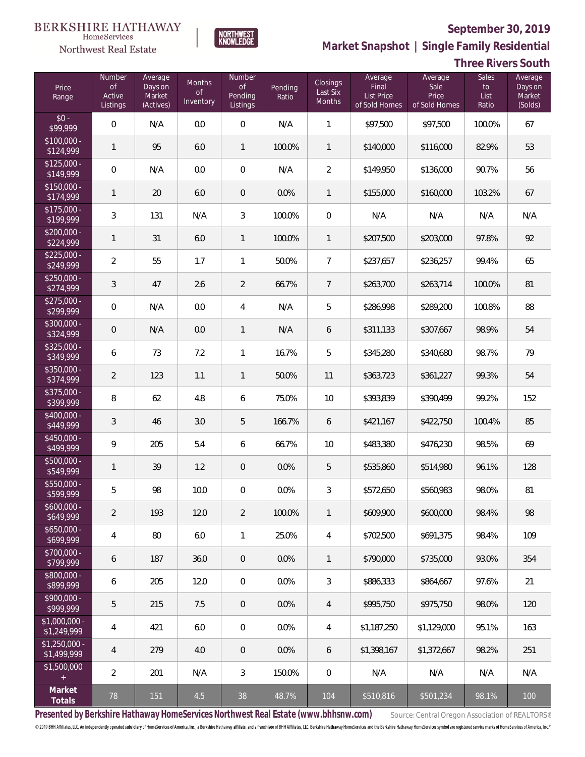

NORTHWEST<br>KNOWLEDGE

Northwest Real Estate

**Market Snapshot | Single Family Residential**

# **Three Rivers South**

| Price<br>Range                | Number<br>of<br>Active<br>Listings | Average<br>Days on<br>Market<br>(Actives) | <b>Months</b><br>0f<br>Inventory | Number<br><b>of</b><br>Pending<br>Listings | Pending<br>Ratio | Closings<br>Last Six<br>Months | Average<br>Final<br>List Price<br>of Sold Homes | Average<br>Sale<br>Price<br>of Sold Homes | <b>Sales</b><br>to<br>List<br>Ratio | Average<br>Days on<br>Market<br>(Solds) |
|-------------------------------|------------------------------------|-------------------------------------------|----------------------------------|--------------------------------------------|------------------|--------------------------------|-------------------------------------------------|-------------------------------------------|-------------------------------------|-----------------------------------------|
| $$0 -$<br>\$99,999            | $\overline{0}$                     | N/A                                       | 0.0                              | $\mathbf 0$                                | N/A              | $\mathbf{1}$                   | \$97,500                                        | \$97,500                                  | 100.0%                              | 67                                      |
| $$100,000 -$<br>\$124,999     | $\mathbf{1}$                       | 95                                        | 6.0                              | $\mathbf{1}$                               | 100.0%           | 1                              | \$140,000                                       | \$116,000                                 | 82.9%                               | 53                                      |
| $$125,000 -$<br>\$149,999     | $\mathbf 0$                        | N/A                                       | 0.0                              | $\mathbf 0$                                | N/A              | $\overline{2}$                 | \$149,950                                       | \$136,000                                 | 90.7%                               | 56                                      |
| $$150,000 -$<br>\$174,999     | 1                                  | 20                                        | 6.0                              | $\theta$                                   | 0.0%             | 1                              | \$155,000                                       | \$160,000                                 | 103.2%                              | 67                                      |
| $$175,000 -$<br>\$199,999     | $\mathfrak{Z}$                     | 131                                       | N/A                              | $\mathfrak{Z}$                             | 100.0%           | $\overline{0}$                 | N/A                                             | N/A                                       | N/A                                 | N/A                                     |
| $$200,000 -$<br>\$224,999     | $\mathbf{1}$                       | 31                                        | 6.0                              | $\mathbf{1}$                               | 100.0%           | $\mathbf{1}$                   | \$207,500                                       | \$203,000                                 | 97.8%                               | 92                                      |
| $$225,000 -$<br>\$249,999     | $\overline{2}$                     | 55                                        | 1.7                              | 1                                          | 50.0%            | $\overline{7}$                 | \$237,657                                       | \$236,257                                 | 99.4%                               | 65                                      |
| $$250,000 -$<br>\$274,999     | 3                                  | 47                                        | 2.6                              | $\overline{2}$                             | 66.7%            | $\overline{7}$                 | \$263,700                                       | \$263,714                                 | 100.0%                              | 81                                      |
| $$275,000 -$<br>\$299,999     | $\overline{0}$                     | N/A                                       | 0.0                              | $\overline{4}$                             | N/A              | 5                              | \$286,998                                       | \$289,200                                 | 100.8%                              | 88                                      |
| $$300,000 -$<br>\$324,999     | $\mathbf 0$                        | N/A                                       | 0.0                              | $\mathbf{1}$                               | N/A              | 6                              | \$311,133                                       | \$307,667                                 | 98.9%                               | 54                                      |
| $$325,000 -$<br>\$349,999     | 6                                  | 73                                        | 7.2                              | $\mathbf{1}$                               | 16.7%            | 5                              | \$345,280                                       | \$340,680                                 | 98.7%                               | 79                                      |
| $$350,000 -$<br>\$374,999     | $\overline{2}$                     | 123                                       | 1.1                              | $\mathbf{1}$                               | 50.0%            | 11                             | \$363,723                                       | \$361,227                                 | 99.3%                               | 54                                      |
| $$375,000 -$<br>\$399,999     | 8                                  | 62                                        | 4.8                              | 6                                          | 75.0%            | 10                             | \$393,839                                       | \$390,499                                 | 99.2%                               | 152                                     |
| $$400,000 -$<br>\$449,999     | 3                                  | 46                                        | 3.0                              | 5                                          | 166.7%           | 6                              | \$421,167                                       | \$422,750                                 | 100.4%                              | 85                                      |
| $$450,000 -$<br>\$499,999     | 9                                  | 205                                       | 5.4                              | 6                                          | 66.7%            | 10                             | \$483,380                                       | \$476,230                                 | 98.5%                               | 69                                      |
| $$500,000 -$<br>\$549,999     | $\mathbf{1}$                       | 39                                        | 1.2                              | $\mathbf 0$                                | 0.0%             | 5                              | \$535,860                                       | \$514,980                                 | 96.1%                               | 128                                     |
| \$550,000 -<br>\$599,999      | 5                                  | 98                                        | 10.0                             | $\mathbf 0$                                | 0.0%             | $\mathfrak{Z}$                 | \$572,650                                       | \$560,983                                 | 98.0%                               | 81                                      |
| $$600,000 -$<br>\$649,999     | $\overline{2}$                     | 193                                       | 12.0                             | $\overline{2}$                             | 100.0%           | 1                              | \$609,900                                       | \$600,000                                 | 98.4%                               | 98                                      |
| $$650,000 -$<br>\$699,999     | $\overline{4}$                     | 80                                        | 6.0                              | $\mathbf{1}$                               | 25.0%            | 4                              | \$702,500                                       | \$691,375                                 | 98.4%                               | 109                                     |
| $$700,000 -$<br>\$799,999     | 6                                  | 187                                       | 36.0                             | $\mathbf 0$                                | 0.0%             | 1                              | \$790,000                                       | \$735,000                                 | 93.0%                               | 354                                     |
| $$800,000 -$<br>\$899,999     | 6                                  | 205                                       | 12.0                             | $\mathbf 0$                                | 0.0%             | $\mathfrak{Z}$                 | \$886,333                                       | \$864.667                                 | 97.6%                               | 21                                      |
| $$900,000 -$<br>\$999,999     | 5                                  | 215                                       | 7.5                              | $\mathbf 0$                                | 0.0%             | 4                              | \$995,750                                       | \$975,750                                 | 98.0%                               | 120                                     |
| $$1,000,000 -$<br>\$1,249,999 | 4                                  | 421                                       | 6.0                              | $\mathbf 0$                                | 0.0%             | $\overline{4}$                 | \$1,187,250                                     | \$1,129,000                               | 95.1%                               | 163                                     |
| $$1,250,000 -$<br>\$1,499,999 | $\overline{4}$                     | 279                                       | 4.0                              | $\mathbf 0$                                | 0.0%             | 6                              | \$1,398,167                                     | \$1,372,667                               | 98.2%                               | 251                                     |
| \$1,500,000<br>$^{+}$         | $\overline{2}$                     | 201                                       | N/A                              | $\sqrt{3}$                                 | 150.0%           | $\mathbf 0$                    | N/A                                             | N/A                                       | N/A                                 | N/A                                     |
| Market<br>Totals              | 78                                 | 151                                       | 4.5                              | 38                                         | 48.7%            | 104                            | \$510,816                                       | \$501,234                                 | 98.1%                               | 100                                     |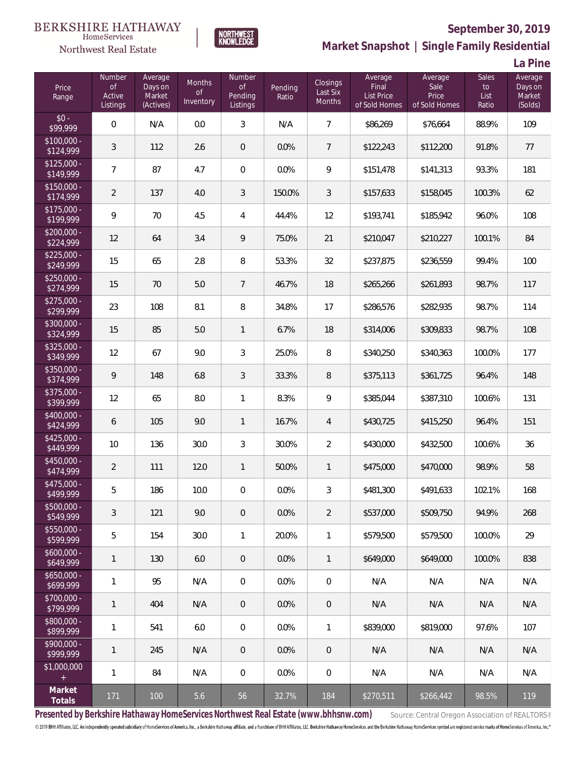### **BERKSHIRE HATHAWAY** HomeServices





# **September 30, 2019**

**Market Snapshot | Single Family Residential**

**La Pine**

| Price<br>Range                                  | Number<br><b>of</b><br>Active<br>Listings | Average<br>Days on<br>Market<br>(Actives) | Months<br><b>of</b><br>Inventory | Number<br>$\mathsf{of}$<br>Pending<br>Listings | Pending<br>Ratio | Closings<br>Last Six<br><b>Months</b> | Average<br>Final<br>List Price<br>of Sold Homes | Average<br>Sale<br>Price<br>of Sold Homes | <b>Sales</b><br>to<br>List<br>Ratio | Average<br>Days on<br>Market<br>(Solds) |
|-------------------------------------------------|-------------------------------------------|-------------------------------------------|----------------------------------|------------------------------------------------|------------------|---------------------------------------|-------------------------------------------------|-------------------------------------------|-------------------------------------|-----------------------------------------|
| $$0 -$<br>\$99,999                              | $\mathbf{0}$                              | N/A                                       | 0.0                              | $\mathfrak{Z}$                                 | N/A              | $\overline{7}$                        | \$86,269                                        | \$76,664                                  | 88.9%                               | 109                                     |
| $$100,000 -$<br>\$124,999                       | 3                                         | 112                                       | 2.6                              | $\theta$                                       | 0.0%             | $\overline{7}$                        | \$122,243                                       | \$112,200                                 | 91.8%                               | 77                                      |
| $$125,000 -$<br>\$149,999                       | $\overline{7}$                            | 87                                        | 4.7                              | $\mathbf 0$                                    | 0.0%             | 9                                     | \$151,478                                       | \$141,313                                 | 93.3%                               | 181                                     |
| $$150,000 -$<br>\$174,999                       | $\overline{2}$                            | 137                                       | 4.0                              | $\sqrt{3}$                                     | 150.0%           | 3                                     | \$157,633                                       | \$158,045                                 | 100.3%                              | 62                                      |
| $$175,000 -$<br>\$199,999                       | 9                                         | 70                                        | 4.5                              | 4                                              | 44.4%            | 12                                    | \$193,741                                       | \$185,942                                 | 96.0%                               | 108                                     |
| $$200,000 -$<br>\$224,999                       | 12                                        | 64                                        | 3.4                              | 9                                              | 75.0%            | 21                                    | \$210,047                                       | \$210,227                                 | 100.1%                              | 84                                      |
| $$225,000 -$<br>\$249,999                       | 15                                        | 65                                        | 2.8                              | 8                                              | 53.3%            | 32                                    | \$237,875                                       | \$236,559                                 | 99.4%                               | 100                                     |
| $$250,000 -$<br>\$274,999                       | 15                                        | 70                                        | 5.0                              | $\overline{7}$                                 | 46.7%            | 18                                    | \$265,266                                       | \$261,893                                 | 98.7%                               | 117                                     |
| $$275,000 -$<br>\$299,999                       | 23                                        | 108                                       | 8.1                              | 8                                              | 34.8%            | 17                                    | \$286,576                                       | \$282,935                                 | 98.7%                               | 114                                     |
| $$300,000 -$<br>\$324,999                       | 15                                        | 85                                        | 5.0                              | $\mathbf{1}$                                   | 6.7%             | 18                                    | \$314,006                                       | \$309,833                                 | 98.7%                               | 108                                     |
| $$325,000 -$<br>\$349,999                       | 12                                        | 67                                        | 9.0                              | 3                                              | 25.0%            | 8                                     | \$340,250                                       | \$340,363                                 | 100.0%                              | 177                                     |
| \$350,000 -<br>\$374,999                        | $\mathcal{Q}$                             | 148                                       | 6.8                              | $\sqrt{3}$                                     | 33.3%            | 8                                     | \$375,113                                       | \$361,725                                 | 96.4%                               | 148                                     |
| \$375,000 -<br>\$399,999                        | 12                                        | 65                                        | 8.0                              | 1                                              | 8.3%             | 9                                     | \$385,044                                       | \$387,310                                 | 100.6%                              | 131                                     |
| \$400,000 -<br>\$424,999                        | 6                                         | 105                                       | 9.0                              | $\mathbf{1}$                                   | 16.7%            | $\overline{4}$                        | \$430,725                                       | \$415,250                                 | 96.4%                               | 151                                     |
| $$425,000 -$<br>\$449,999                       | 10                                        | 136                                       | 30.0                             | 3                                              | 30.0%            | $\overline{2}$                        | \$430,000                                       | \$432,500                                 | 100.6%                              | 36                                      |
| $$450,000 -$<br>\$474,999                       | $\overline{2}$                            | 111                                       | 12.0                             | $\mathbf{1}$                                   | 50.0%            | $\mathbf{1}$                          | \$475,000                                       | \$470,000                                 | 98.9%                               | 58                                      |
| $$475,000 -$<br>\$499,999                       | 5                                         | 186                                       | 10.0                             | $\mathbf 0$                                    | 0.0%             | 3                                     | \$481,300                                       | \$491,633                                 | 102.1%                              | 168                                     |
| $$500,000 -$<br>\$549,999                       | 3                                         | 121                                       | 9.0                              | $\theta$                                       | 0.0%             | 2                                     | \$537,000                                       | \$509,750                                 | 94.9%                               | 268                                     |
| $$550,000 -$<br>\$599,999                       | 5                                         | 154                                       | 30.0                             | 1                                              | 20.0%            | 1                                     | \$579,500                                       | \$579,500                                 | 100.0%                              | 29                                      |
| $$600,000 -$<br>\$649,999                       | $\mathbf{1}$                              | 130                                       | 6.0                              | $\sqrt{2}$                                     | 0.0%             | 1                                     | \$649,000                                       | \$649,000                                 | 100.0%                              | 838                                     |
| $$650,000 -$<br>\$699,999                       | $\mathbf{1}$                              | 95                                        | N/A                              | $\mathbf 0$                                    | 0.0%             | $\mathbf 0$                           | N/A                                             | N/A                                       | N/A                                 | N/A                                     |
| $$700,000 -$<br>\$799,999                       | $\mathbf{1}$                              | 404                                       | N/A                              | $\sqrt{2}$                                     | 0.0%             | $\overline{0}$                        | N/A                                             | N/A                                       | N/A                                 | N/A                                     |
| \$800,000 -<br>\$899,999                        | $\mathbf{1}$                              | 541                                       | 6.0                              | $\mathbf 0$                                    | 0.0%             | 1                                     | \$839,000                                       | \$819,000                                 | 97.6%                               | 107                                     |
| $$900,000 -$<br>\$999,999                       | $\mathbf{1}$                              | 245                                       | N/A                              | $\theta$                                       | 0.0%             | $\overline{0}$                        | N/A                                             | N/A                                       | N/A                                 | N/A                                     |
| \$1,000,000<br>$\begin{array}{c} + \end{array}$ | 1                                         | 84                                        | N/A                              | $\mathbf 0$                                    | 0.0%             | $\mathbf 0$                           | N/A                                             | N/A                                       | N/A                                 | N/A                                     |
| Market<br>Totals                                | 171                                       | 100                                       | 5.6                              | 56                                             | 32.7%            | 184                                   | \$270,511                                       | \$266,442                                 | 98.5%                               | 119                                     |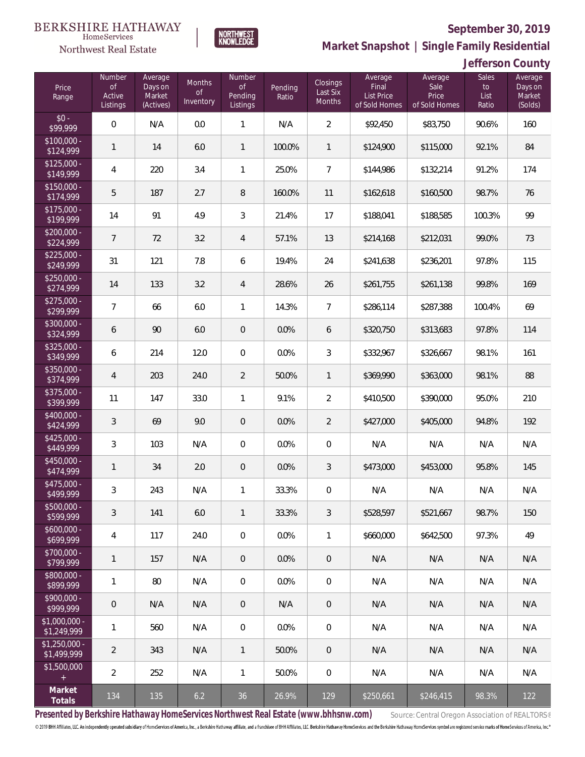

Northwest Real Estate

**Market Snapshot | Single Family Residential**

| Jefferson County |  |
|------------------|--|
|------------------|--|

| Price<br>Range                | Number<br><b>of</b><br>Active<br>Listings | Average<br>Days on<br>Market<br>(Actives) | Months<br>of<br>Inventory | <b>Number</b><br>of<br>Pending<br>Listings | Pending<br>Ratio | Closings<br>Last Six<br>Months | Average<br>Final<br><b>List Price</b><br>of Sold Homes | Average<br>Sale<br>Price<br>of Sold Homes | <b>Sales</b><br>to<br>List<br>Ratio | Average<br>Days on<br>Market<br>(Solds) |
|-------------------------------|-------------------------------------------|-------------------------------------------|---------------------------|--------------------------------------------|------------------|--------------------------------|--------------------------------------------------------|-------------------------------------------|-------------------------------------|-----------------------------------------|
| $$0 -$<br>\$99,999            | $\overline{0}$                            | N/A                                       | 0.0                       | $\mathbf{1}$                               | N/A              | $\overline{2}$                 | \$92,450                                               | \$83,750                                  | 90.6%                               | 160                                     |
| $$100,000 -$<br>\$124,999     | $\mathbf{1}$                              | 14                                        | 6.0                       | $\mathbf{1}$                               | 100.0%           | $\overline{1}$                 | \$124,900                                              | \$115,000                                 | 92.1%                               | 84                                      |
| $$125,000 -$<br>\$149,999     | $\overline{4}$                            | 220                                       | 3.4                       | $\mathbf{1}$                               | 25.0%            | $\overline{7}$                 | \$144,986                                              | \$132,214                                 | 91.2%                               | 174                                     |
| $$150,000 -$<br>\$174,999     | 5                                         | 187                                       | 2.7                       | 8                                          | 160.0%           | 11                             | \$162,618                                              | \$160,500                                 | 98.7%                               | 76                                      |
| $$175,000 -$<br>\$199,999     | 14                                        | 91                                        | 4.9                       | $\mathfrak{Z}$                             | 21.4%            | 17                             | \$188,041                                              | \$188,585                                 | 100.3%                              | 99                                      |
| $$200,000 -$<br>\$224,999     | $\overline{7}$                            | 72                                        | 3.2                       | 4                                          | 57.1%            | 13                             | \$214,168                                              | \$212,031                                 | 99.0%                               | 73                                      |
| $$225,000 -$<br>\$249,999     | 31                                        | 121                                       | 7.8                       | 6                                          | 19.4%            | 24                             | \$241,638                                              | \$236,201                                 | 97.8%                               | 115                                     |
| $$250,000 -$<br>\$274,999     | 14                                        | 133                                       | 3.2                       | 4                                          | 28.6%            | 26                             | \$261,755                                              | \$261,138                                 | 99.8%                               | 169                                     |
| $$275,000 -$<br>\$299,999     | $\overline{7}$                            | 66                                        | 6.0                       | 1                                          | 14.3%            | $\overline{7}$                 | \$286,114                                              | \$287,388                                 | 100.4%                              | 69                                      |
| $$300,000 -$<br>\$324,999     | 6                                         | 90                                        | 6.0                       | $\overline{0}$                             | 0.0%             | 6                              | \$320,750                                              | \$313,683                                 | 97.8%                               | 114                                     |
| $$325,000 -$<br>\$349,999     | 6                                         | 214                                       | 12.0                      | $\boldsymbol{0}$                           | 0.0%             | 3                              | \$332,967                                              | \$326,667                                 | 98.1%                               | 161                                     |
| $$350,000 -$<br>\$374,999     | $\overline{4}$                            | 203                                       | 24.0                      | $\overline{2}$                             | 50.0%            | $\mathbf{1}$                   | \$369,990                                              | \$363,000                                 | 98.1%                               | 88                                      |
| $$375,000 -$<br>\$399,999     | 11                                        | 147                                       | 33.0                      | $\mathbf{1}$                               | 9.1%             | $\overline{2}$                 | \$410,500                                              | \$390,000                                 | 95.0%                               | 210                                     |
| \$400,000 -<br>\$424,999      | $\mathfrak{Z}$                            | 69                                        | 9.0                       | $\mathbf 0$                                | 0.0%             | $\overline{2}$                 | \$427,000                                              | \$405,000                                 | 94.8%                               | 192                                     |
| $$425,000 -$<br>\$449,999     | 3                                         | 103                                       | N/A                       | $\overline{0}$                             | 0.0%             | $\overline{0}$                 | N/A                                                    | N/A                                       | N/A                                 | N/A                                     |
| \$450,000 -<br>\$474,999      | $\mathbf{1}$                              | 34                                        | 2.0                       | $\overline{0}$                             | 0.0%             | 3                              | \$473,000                                              | \$453,000                                 | 95.8%                               | 145                                     |
| \$475,000 -<br>\$499,999      | $\mathfrak{Z}$                            | 243                                       | N/A                       | $\mathbf{1}$                               | 33.3%            | $\mathbf 0$                    | N/A                                                    | N/A                                       | N/A                                 | N/A                                     |
| \$500,000 -<br>\$599,999      | 3                                         | 141                                       | 6.0                       | $\mathbf{1}$                               | 33.3%            | 3                              | \$528,597                                              | \$521,667                                 | 98.7%                               | 150                                     |
| $$600,000 -$<br>\$699,999     | $\overline{4}$                            | 117                                       | 24.0                      | $\mathbf 0$                                | 0.0%             | $\mathbf{1}$                   | \$660,000                                              | \$642,500                                 | 97.3%                               | 49                                      |
| \$700,000 -<br>\$799,999      | $\mathbf{1}$                              | 157                                       | N/A                       | $\theta$                                   | 0.0%             | $\mathbf 0$                    | N/A                                                    | N/A                                       | N/A                                 | N/A                                     |
| \$800,000 -<br>\$899,999      | $\mathbf{1}$                              | 80                                        | N/A                       | 0                                          | 0.0%             | $\mathbf 0$                    | N/A                                                    | N/A                                       | N/A                                 | N/A                                     |
| \$900,000 -<br>\$999,999      | $\mathsf{O}\xspace$                       | N/A                                       | N/A                       | $\theta$                                   | N/A              | $\mathbb O$                    | N/A                                                    | N/A                                       | N/A                                 | N/A                                     |
| $$1,000,000 -$<br>\$1,249,999 | $\mathbf{1}$                              | 560                                       | N/A                       | 0                                          | 0.0%             | $\mathbf 0$                    | N/A                                                    | N/A                                       | N/A                                 | N/A                                     |
| $$1,250,000 -$<br>\$1,499,999 | $\overline{2}$                            | 343                                       | N/A                       | $\mathbf{1}$                               | 50.0%            | $\mathbf{0}$                   | N/A                                                    | N/A                                       | N/A                                 | N/A                                     |
| \$1,500,000<br>$\pm$          | $\overline{2}$                            | 252                                       | N/A                       | 1                                          | 50.0%            | $\mathbf 0$                    | N/A                                                    | N/A                                       | N/A                                 | N/A                                     |
| Market<br>Totals              | 134                                       | 135                                       | 6.2                       | 36                                         | 26.9%            | 129                            | \$250,661                                              | \$246,415                                 | 98.3%                               | 122                                     |

**NORTHWEST**<br>KNOWLEDGE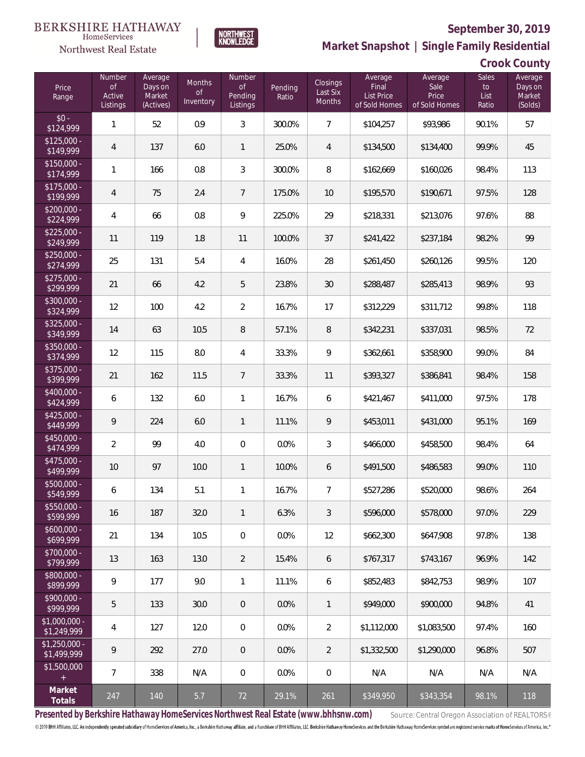

**NORTHWEST**<br>KNOWLEDGE

Northwest Real Estate

**Market Snapshot | Single Family Residential**

**Crook County**

| Price<br>Range                                  | Number<br><b>of</b><br>Active<br>Listings | Average<br>Days on<br>Market<br>(Actives) | Months<br>0f<br>Inventory | Number<br><b>of</b><br>Pending<br>Listings | Pending<br>Ratio | Closings<br>Last Six<br><b>Months</b> | Average<br>Final<br>List Price<br>of Sold Homes | Average<br>Sale<br>Price<br>of Sold Homes | <b>Sales</b><br>to<br>List<br>Ratio | Average<br>Days on<br>Market<br>(Solds) |
|-------------------------------------------------|-------------------------------------------|-------------------------------------------|---------------------------|--------------------------------------------|------------------|---------------------------------------|-------------------------------------------------|-------------------------------------------|-------------------------------------|-----------------------------------------|
| $$0 -$<br>\$124,999                             | 1                                         | 52                                        | 0.9                       | $\mathfrak{Z}$                             | 300.0%           | $\overline{7}$                        | \$104,257                                       | \$93,986                                  | 90.1%                               | 57                                      |
| $$125,000 -$<br>\$149,999                       | 4                                         | 137                                       | 6.0                       | $\mathbf{1}$                               | 25.0%            | 4                                     | \$134,500                                       | \$134,400                                 | 99.9%                               | 45                                      |
| $$150,000 -$<br>\$174,999                       | 1                                         | 166                                       | 0.8                       | $\sqrt{3}$                                 | 300.0%           | 8                                     | \$162,669                                       | \$160,026                                 | 98.4%                               | 113                                     |
| $$175,000 -$<br>\$199,999                       | $\overline{4}$                            | 75                                        | 2.4                       | $\overline{7}$                             | 175.0%           | 10                                    | \$195,570                                       | \$190,671                                 | 97.5%                               | 128                                     |
| $$200,000 -$<br>\$224,999                       | $\overline{4}$                            | 66                                        | 0.8                       | $\mathsf q$                                | 225.0%           | 29                                    | \$218,331                                       | \$213,076                                 | 97.6%                               | 88                                      |
| $$225,000 -$<br>\$249,999                       | 11                                        | 119                                       | 1.8                       | 11                                         | 100.0%           | 37                                    | \$241,422                                       | \$237,184                                 | 98.2%                               | 99                                      |
| $$250,000 -$<br>\$274,999                       | 25                                        | 131                                       | 5.4                       | $\overline{4}$                             | 16.0%            | 28                                    | \$261,450                                       | \$260,126                                 | 99.5%                               | 120                                     |
| $$275,000 -$<br>\$299,999                       | 21                                        | 66                                        | 4.2                       | 5                                          | 23.8%            | 30                                    | \$288,487                                       | \$285,413                                 | 98.9%                               | 93                                      |
| $$300,000 -$<br>\$324,999                       | 12                                        | 100                                       | 4.2                       | $\overline{2}$                             | 16.7%            | 17                                    | \$312,229                                       | \$311,712                                 | 99.8%                               | 118                                     |
| $$325,000 -$<br>\$349,999                       | 14                                        | 63                                        | 10.5                      | $\, 8$                                     | 57.1%            | 8                                     | \$342,231                                       | \$337,031                                 | 98.5%                               | 72                                      |
| $$350,000 -$<br>\$374,999                       | 12                                        | 115                                       | 8.0                       | $\overline{4}$                             | 33.3%            | 9                                     | \$362,661                                       | \$358,900                                 | 99.0%                               | 84                                      |
| $$375,000 -$<br>\$399,999                       | 21                                        | 162                                       | 11.5                      | $\overline{7}$                             | 33.3%            | 11                                    | \$393,327                                       | \$386,841                                 | 98.4%                               | 158                                     |
| $$400,000 -$<br>\$424,999                       | 6                                         | 132                                       | 6.0                       | $\mathbf{1}$                               | 16.7%            | 6                                     | \$421,467                                       | \$411,000                                 | 97.5%                               | 178                                     |
| $$425,000 -$<br>\$449,999                       | 9                                         | 224                                       | 6.0                       | $\mathbf{1}$                               | 11.1%            | 9                                     | \$453,011                                       | \$431,000                                 | 95.1%                               | 169                                     |
| $$450,000 -$<br>\$474,999                       | $\overline{2}$                            | 99                                        | 4.0                       | $\mathbf 0$                                | 0.0%             | 3                                     | \$466,000                                       | \$458,500                                 | 98.4%                               | 64                                      |
| $$475,000 -$<br>\$499,999                       | 10                                        | 97                                        | 10.0                      | $\mathbf{1}$                               | 10.0%            | 6                                     | \$491,500                                       | \$486,583                                 | 99.0%                               | 110                                     |
| \$500,000 -<br>\$549,999                        | 6                                         | 134                                       | 5.1                       | $\mathbf{1}$                               | 16.7%            | 7                                     | \$527,286                                       | \$520,000                                 | 98.6%                               | 264                                     |
| $$550,000 -$<br>\$599,999                       | 16                                        | 187                                       | 32.0                      | $\mathbf{1}$                               | 6.3%             | 3                                     | \$596,000                                       | \$578,000                                 | 97.0%                               | 229                                     |
| $$600,000 -$<br>\$699,999                       | 21                                        | 134                                       | 10.5                      | $\overline{0}$                             | 0.0%             | 12                                    | \$662,300                                       | \$647,908                                 | 97.8%                               | 138                                     |
| $$700,000 -$<br>\$799,999                       | 13                                        | 163                                       | 13.0                      | $\overline{2}$                             | 15.4%            | 6                                     | \$767,317                                       | \$743,167                                 | 96.9%                               | 142                                     |
| $$800,000 -$<br>\$899,999                       | 9                                         | 177                                       | 9.0                       | $\mathbf{1}$                               | 11.1%            | 6                                     | \$852,483                                       | \$842,753                                 | 98.9%                               | 107                                     |
| $$900,000 -$<br>\$999,999                       | 5                                         | 133                                       | 30.0                      | $\theta$                                   | 0.0%             | $\mathbf{1}$                          | \$949,000                                       | \$900,000                                 | 94.8%                               | 41                                      |
| $$1,000,000 -$<br>\$1,249,999                   | 4                                         | 127                                       | 12.0                      | 0                                          | 0.0%             | 2                                     | \$1,112,000                                     | \$1,083,500                               | 97.4%                               | 160                                     |
| $$1,250,000 -$<br>\$1,499,999                   | 9                                         | 292                                       | 27.0                      | $\theta$                                   | 0.0%             | 2                                     | \$1,332,500                                     | \$1,290,000                               | 96.8%                               | 507                                     |
| \$1,500,000<br>$\begin{array}{c} + \end{array}$ | $\overline{7}$                            | 338                                       | N/A                       | 0                                          | $0.0\%$          | $\boldsymbol{0}$                      | N/A                                             | N/A                                       | N/A                                 | N/A                                     |
| Market<br>Totals                                | 247                                       | 140                                       | 5.7                       | 72                                         | 29.1%            | 261                                   | \$349,950                                       | \$343,354                                 | 98.1%                               | 118                                     |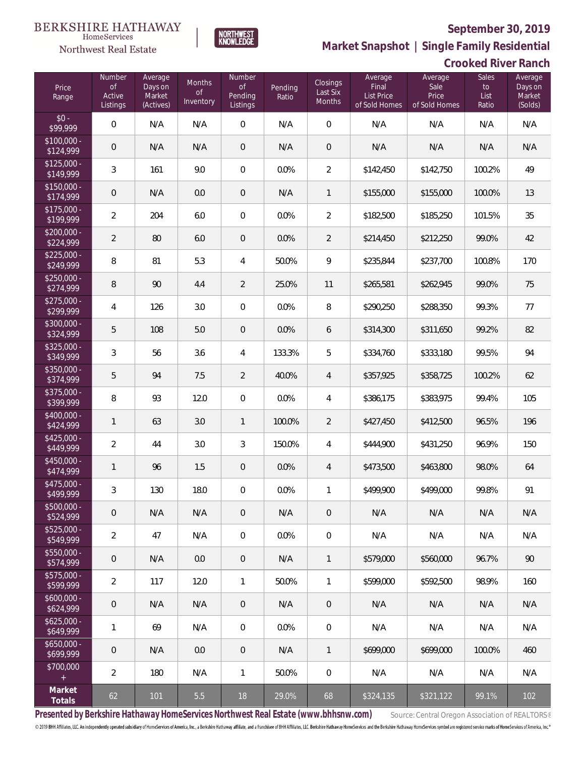

NORTHWEST<br>KNOWLEDGE

Northwest Real Estate

**Market Snapshot | Single Family Residential**

## **Crooked River Ranch**

| Price<br>Range            | Number<br><b>of</b><br>Active<br>Listings | Average<br>Days on<br>Market<br>(Actives) | <b>Months</b><br><b>of</b><br>Inventory | Number<br><b>of</b><br>Pending<br>Listings | Pending<br>Ratio | Closings<br>Last Six<br>Months | Average<br>Final<br>List Price<br>of Sold Homes | Average<br>Sale<br>Price<br>of Sold Homes | <b>Sales</b><br>to<br>List<br>Ratio | Average<br>Days on<br>Market<br>(Solds) |
|---------------------------|-------------------------------------------|-------------------------------------------|-----------------------------------------|--------------------------------------------|------------------|--------------------------------|-------------------------------------------------|-------------------------------------------|-------------------------------------|-----------------------------------------|
| $$0 -$<br>\$99,999        | $\overline{0}$                            | N/A                                       | N/A                                     | $\boldsymbol{0}$                           | N/A              | $\mathbf 0$                    | N/A                                             | N/A                                       | N/A                                 | N/A                                     |
| $$100,000 -$<br>\$124,999 | $\mathbf 0$                               | N/A                                       | N/A                                     | $\overline{0}$                             | N/A              | $\overline{0}$                 | N/A                                             | N/A                                       | N/A                                 | N/A                                     |
| $$125,000 -$<br>\$149,999 | $\mathfrak{Z}$                            | 161                                       | 9.0                                     | $\boldsymbol{0}$                           | 0.0%             | $\overline{2}$                 | \$142,450                                       | \$142,750                                 | 100.2%                              | 49                                      |
| $$150,000 -$<br>\$174,999 | $\mathbf 0$                               | N/A                                       | 0.0                                     | $\overline{0}$                             | N/A              | $\mathbf{1}$                   | \$155,000                                       | \$155,000                                 | 100.0%                              | 13                                      |
| \$175,000 -<br>\$199,999  | $\overline{2}$                            | 204                                       | 6.0                                     | $\boldsymbol{0}$                           | 0.0%             | $\overline{2}$                 | \$182,500                                       | \$185,250                                 | 101.5%                              | 35                                      |
| $$200,000 -$<br>\$224,999 | $\overline{2}$                            | 80                                        | 6.0                                     | $\overline{0}$                             | 0.0%             | $\overline{2}$                 | \$214,450                                       | \$212,250                                 | 99.0%                               | 42                                      |
| $$225,000 -$<br>\$249,999 | $\,8\,$                                   | 81                                        | 5.3                                     | 4                                          | 50.0%            | 9                              | \$235,844                                       | \$237,700                                 | 100.8%                              | 170                                     |
| $$250,000 -$<br>\$274,999 | $\, 8$                                    | 90                                        | 4.4                                     | $\overline{2}$                             | 25.0%            | 11                             | \$265,581                                       | \$262,945                                 | 99.0%                               | 75                                      |
| $$275,000 -$<br>\$299,999 | $\overline{4}$                            | 126                                       | 3.0                                     | $\boldsymbol{0}$                           | 0.0%             | $\, 8$                         | \$290,250                                       | \$288,350                                 | 99.3%                               | 77                                      |
| \$300,000 -<br>\$324,999  | 5                                         | 108                                       | 5.0                                     | $\overline{0}$                             | 0.0%             | 6                              | \$314,300                                       | \$311,650                                 | 99.2%                               | 82                                      |
| $$325,000 -$<br>\$349,999 | $\mathfrak{Z}$                            | 56                                        | 3.6                                     | 4                                          | 133.3%           | 5                              | \$334,760                                       | \$333,180                                 | 99.5%                               | 94                                      |
| $$350,000 -$<br>\$374,999 | 5                                         | 94                                        | 7.5                                     | $\overline{2}$                             | 40.0%            | 4                              | \$357,925                                       | \$358,725                                 | 100.2%                              | 62                                      |
| \$375,000 -<br>\$399,999  | $\, 8$                                    | 93                                        | 12.0                                    | $\boldsymbol{0}$                           | 0.0%             | $\overline{4}$                 | \$386,175                                       | \$383,975                                 | 99.4%                               | 105                                     |
| \$400,000 -<br>\$424,999  | $\mathbf{1}$                              | 63                                        | 3.0                                     | $\mathbf{1}$                               | 100.0%           | $\overline{2}$                 | \$427,450                                       | \$412,500                                 | 96.5%                               | 196                                     |
| $$425,000 -$<br>\$449,999 | $\overline{2}$                            | 44                                        | 3.0                                     | 3                                          | 150.0%           | $\overline{4}$                 | \$444,900                                       | \$431,250                                 | 96.9%                               | 150                                     |
| \$450,000 -<br>\$474,999  | $\mathbf{1}$                              | 96                                        | 1.5                                     | $\overline{0}$                             | 0.0%             | 4                              | \$473,500                                       | \$463,800                                 | 98.0%                               | 64                                      |
| \$475,000 -<br>\$499,999  | $\sqrt{3}$                                | 130                                       | 18.0                                    | $\,0\,$                                    | 0.0%             | 1                              | \$499,900                                       | \$499,000                                 | 99.8%                               | 91                                      |
| \$500,000 -<br>\$524,999  | $\theta$                                  | N/A                                       | N/A                                     | $\overline{0}$                             | N/A              | $\overline{0}$                 | N/A                                             | N/A                                       | N/A                                 | N/A                                     |
| $$525,000 -$<br>\$549,999 | $\overline{2}$                            | 47                                        | N/A                                     | 0                                          | 0.0%             | $\mathbf 0$                    | N/A                                             | N/A                                       | N/A                                 | N/A                                     |
| \$550,000 -<br>\$574,999  | $\theta$                                  | N/A                                       | 0.0                                     | $\theta$                                   | N/A              | $\mathbf{1}$                   | \$579,000                                       | \$560,000                                 | 96.7%                               | 90                                      |
| \$575,000 -<br>\$599,999  | $\overline{2}$                            | 117                                       | 12.0                                    | 1                                          | 50.0%            | $\mathbf{1}$                   | \$599,000                                       | \$592,500                                 | 98.9%                               | 160                                     |
| $$600,000 -$<br>\$624,999 | $\mathbf 0$                               | N/A                                       | N/A                                     | $\theta$                                   | N/A              | $\mathbb O$                    | N/A                                             | N/A                                       | N/A                                 | N/A                                     |
| $$625,000 -$<br>\$649,999 | $\mathbf{1}$                              | 69                                        | N/A                                     | 0                                          | 0.0%             | $\mathbf 0$                    | N/A                                             | N/A                                       | N/A                                 | N/A                                     |
| $$650,000 -$<br>\$699,999 | $\mathbf 0$                               | N/A                                       | 0.0                                     | $\theta$                                   | N/A              | $\mathbf{1}$                   | \$699,000                                       | \$699,000                                 | 100.0%                              | 460                                     |
| \$700,000<br>$\pm$        | $\overline{2}$                            | 180                                       | N/A                                     | 1                                          | 50.0%            | $\mathbf 0$                    | N/A                                             | N/A                                       | N/A                                 | N/A                                     |
| Market<br>Totals          | 62                                        | 101                                       | 5.5                                     | 18                                         | 29.0%            | 68                             | \$324,135                                       | \$321,122                                 | 99.1%                               | 102                                     |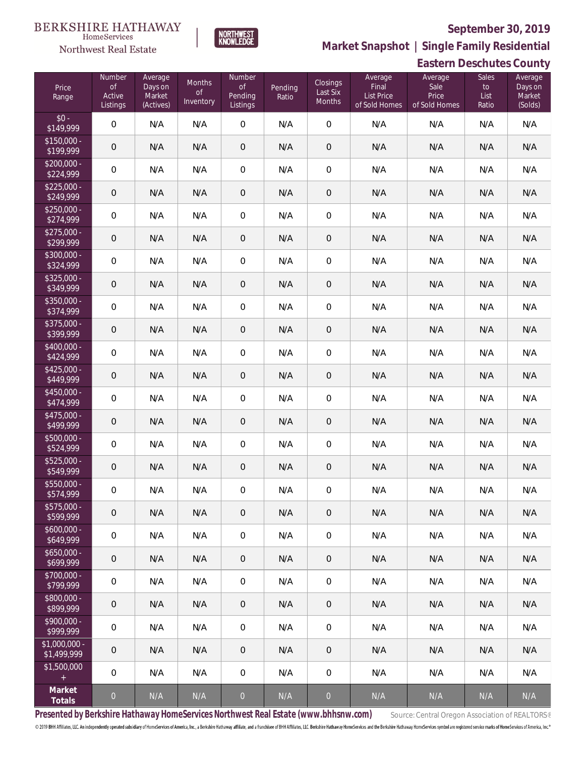# **BERKSHIRE HATHAWAY**

### HomeServices Northwest Real Estate

### **September 30, 2019**



**Eastern Deschutes County Market Snapshot | Single Family Residential**

| Price<br>Range                                  | Number<br>$\mathsf{of}$<br>Active<br>Listings | Average<br>Days on<br>Market<br>(Actives) | Months<br><b>of</b><br>Inventory | Number<br>$\mathsf{of}$<br><b>Pending</b><br>Listings | Pending<br>Ratio | <b>Closings</b><br>Last Six<br>Months | Average<br>Final<br><b>List Price</b><br>of Sold Homes | Average<br>Sale<br>Price<br>of Sold Homes | Sales<br>$\mathsf{to}$<br>List<br>Ratio | Average<br>Days on<br>Market<br>(Solds) |
|-------------------------------------------------|-----------------------------------------------|-------------------------------------------|----------------------------------|-------------------------------------------------------|------------------|---------------------------------------|--------------------------------------------------------|-------------------------------------------|-----------------------------------------|-----------------------------------------|
| $$0 -$<br>\$149,999                             | $\mathbf 0$                                   | N/A                                       | N/A                              | $\mathbf 0$                                           | N/A              | $\mathbf 0$                           | N/A                                                    | N/A                                       | N/A                                     | N/A                                     |
| $$150,000 -$<br>\$199,999                       | $\mathbf 0$                                   | N/A                                       | N/A                              | 0                                                     | N/A              | $\mathbf 0$                           | N/A                                                    | N/A                                       | N/A                                     | N/A                                     |
| $$200,000 -$<br>\$224,999                       | $\mathbf 0$                                   | N/A                                       | N/A                              | 0                                                     | N/A              | $\mathbf 0$                           | N/A                                                    | N/A                                       | N/A                                     | N/A                                     |
| $$225,000 -$<br>\$249,999                       | $\mathbf 0$                                   | N/A                                       | N/A                              | 0                                                     | N/A              | $\theta$                              | N/A                                                    | N/A                                       | N/A                                     | N/A                                     |
| $$250,000 -$<br>\$274,999                       | $\mathbf 0$                                   | N/A                                       | N/A                              | $\boldsymbol{0}$                                      | N/A              | $\mathbf 0$                           | N/A                                                    | N/A                                       | N/A                                     | N/A                                     |
| $$275,000 -$<br>\$299,999                       | $\mathbf 0$                                   | N/A                                       | N/A                              | 0                                                     | N/A              | $\theta$                              | N/A                                                    | N/A                                       | N/A                                     | N/A                                     |
| $$300,000 -$<br>\$324,999                       | $\mathbf 0$                                   | N/A                                       | N/A                              | 0                                                     | N/A              | $\mathbf 0$                           | N/A                                                    | N/A                                       | N/A                                     | N/A                                     |
| $$325,000 -$<br>\$349,999                       | $\mathbf 0$                                   | N/A                                       | N/A                              | 0                                                     | N/A              | $\theta$                              | N/A                                                    | N/A                                       | N/A                                     | N/A                                     |
| $$350,000 -$<br>\$374,999                       | $\mathbf 0$                                   | N/A                                       | N/A                              | 0                                                     | N/A              | $\mathbf 0$                           | N/A                                                    | N/A                                       | N/A                                     | N/A                                     |
| $$375,000 -$<br>\$399,999                       | $\mathbf 0$                                   | N/A                                       | N/A                              | 0                                                     | N/A              | $\mathbf 0$                           | N/A                                                    | N/A                                       | N/A                                     | N/A                                     |
| $$400,000 -$<br>\$424,999                       | $\mathbf 0$                                   | N/A                                       | N/A                              | $\boldsymbol{0}$                                      | N/A              | $\mathbf 0$                           | N/A                                                    | N/A                                       | N/A                                     | N/A                                     |
| $$425,000 -$<br>\$449,999                       | $\mathbf 0$                                   | N/A                                       | N/A                              | 0                                                     | N/A              | $\mathbf 0$                           | N/A                                                    | N/A                                       | N/A                                     | N/A                                     |
| \$450,000 -<br>\$474,999                        | $\mathsf O$                                   | N/A                                       | N/A                              | $\boldsymbol{0}$                                      | N/A              | $\mathbf 0$                           | N/A                                                    | N/A                                       | N/A                                     | N/A                                     |
| $$475,000 -$<br>\$499,999                       | $\mathbf 0$                                   | N/A                                       | N/A                              | $\mathbf 0$                                           | N/A              | $\mathbf 0$                           | N/A                                                    | N/A                                       | N/A                                     | N/A                                     |
| \$500,000 -<br>\$524,999                        | $\mathbf 0$                                   | N/A                                       | N/A                              | $\boldsymbol{0}$                                      | N/A              | $\mathbf 0$                           | N/A                                                    | N/A                                       | N/A                                     | N/A                                     |
| \$525,000 -<br>\$549,999                        | $\mathbf 0$                                   | N/A                                       | N/A                              | $\mathbf 0$                                           | N/A              | $\mathbf 0$                           | N/A                                                    | N/A                                       | N/A                                     | N/A                                     |
| \$550,000 -<br>\$574,999                        | $\mathbf 0$                                   | N/A                                       | N/A                              | $\mathsf{O}\xspace$                                   | N/A              | $\mathbf 0$                           | N/A                                                    | N/A                                       | N/A                                     | N/A                                     |
| $$575,000 -$<br>\$599,999                       | $\overline{0}$                                | N/A                                       | N/A                              | 0                                                     | N/A              | $\overline{0}$                        | N/A                                                    | N/A                                       | N/A                                     | N/A                                     |
| $$600,000 -$<br>\$649,999                       | $\mathbf 0$                                   | N/A                                       | N/A                              | 0                                                     | N/A              | $\mathbf 0$                           | N/A                                                    | N/A                                       | N/A                                     | N/A                                     |
| $$650,000 -$<br>\$699,999                       | $\mathbf 0$                                   | N/A                                       | N/A                              | 0                                                     | N/A              | $\mathsf{O}\xspace$                   | N/A                                                    | N/A                                       | N/A                                     | N/A                                     |
| $$700,000 -$<br>\$799,999                       | 0                                             | N/A                                       | N/A                              | 0                                                     | N/A              | $\overline{0}$                        | N/A                                                    | N/A                                       | N/A                                     | N/A                                     |
| \$800,000 -<br>\$899,999                        | $\mathbf 0$                                   | N/A                                       | N/A                              | 0                                                     | N/A              | $\overline{0}$                        | N/A                                                    | N/A                                       | N/A                                     | N/A                                     |
| \$900,000 -<br>\$999,999                        | 0                                             | N/A                                       | N/A                              | 0                                                     | N/A              | $\overline{0}$                        | N/A                                                    | N/A                                       | N/A                                     | N/A                                     |
| $$1,000,000 -$<br>\$1,499,999                   | $\mathbf 0$                                   | N/A                                       | N/A                              | 0                                                     | N/A              | $\overline{0}$                        | N/A                                                    | N/A                                       | N/A                                     | N/A                                     |
| \$1,500,000<br>$\begin{array}{c} + \end{array}$ | 0                                             | N/A                                       | N/A                              | 0                                                     | N/A              | $\overline{0}$                        | N/A                                                    | N/A                                       | N/A                                     | N/A                                     |
| Market<br>Totals                                | $\overline{0}$                                | N/A                                       | N/A                              | $\overline{0}$                                        | N/A              | $\overline{0}$                        | N/A                                                    | N/A                                       | N/A                                     | N/A                                     |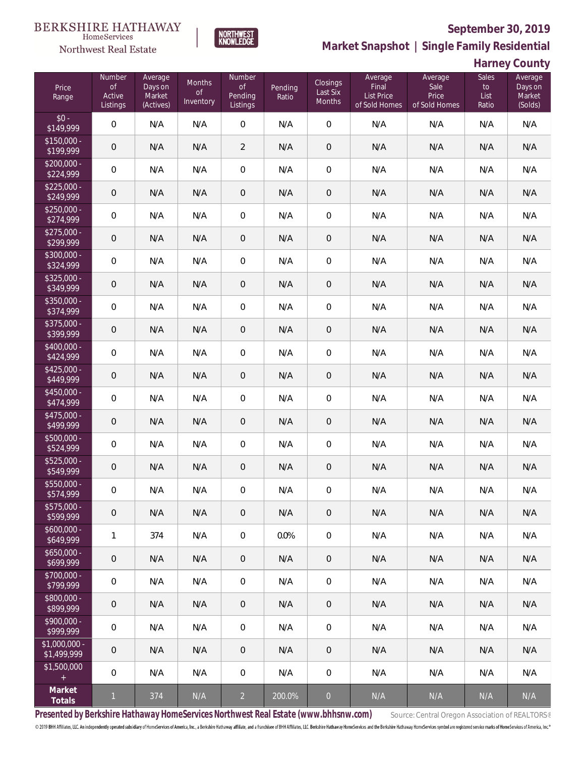

**NORTHWEST**<br>KNOWLEDGE

Northwest Real Estate

**Market Snapshot | Single Family Residential**

**Harney County**

| Price<br>Range                | Number<br><b>of</b><br>Active<br>Listings | Average<br>Days on<br>Market<br>(Actives) | <b>Months</b><br><b>of</b><br>Inventory | Number<br><b>of</b><br>Pending<br>Listings | Pending<br>Ratio | <b>Closings</b><br>Last Six<br>Months | Average<br>Final<br>List Price<br>of Sold Homes | Average<br>Sale<br>Price<br>of Sold Homes | <b>Sales</b><br>to<br>List<br>Ratio | - - - - <i>- - -</i><br>Average<br>Days on<br>Market<br>(Solds) |
|-------------------------------|-------------------------------------------|-------------------------------------------|-----------------------------------------|--------------------------------------------|------------------|---------------------------------------|-------------------------------------------------|-------------------------------------------|-------------------------------------|-----------------------------------------------------------------|
| $$0 -$<br>\$149,999           | $\mathbf 0$                               | N/A                                       | N/A                                     | $\boldsymbol{0}$                           | N/A              | $\mathbf 0$                           | N/A                                             | N/A                                       | N/A                                 | N/A                                                             |
| $$150,000 -$<br>\$199,999     | $\mathbf 0$                               | N/A                                       | N/A                                     | $\overline{2}$                             | N/A              | $\mathbf 0$                           | N/A                                             | N/A                                       | N/A                                 | N/A                                                             |
| $$200,000 -$<br>\$224,999     | $\mathbf 0$                               | N/A                                       | N/A                                     | $\,0\,$                                    | N/A              | $\mathbf 0$                           | N/A                                             | N/A                                       | N/A                                 | N/A                                                             |
| $$225,000 -$<br>\$249,999     | $\mathbf 0$                               | N/A                                       | N/A                                     | $\theta$                                   | N/A              | $\mathsf{O}\xspace$                   | N/A                                             | N/A                                       | N/A                                 | N/A                                                             |
| $$250,000 -$<br>\$274,999     | $\mathbf 0$                               | N/A                                       | N/A                                     | $\,0\,$                                    | N/A              | $\mathbf 0$                           | N/A                                             | N/A                                       | N/A                                 | N/A                                                             |
| $$275,000 -$<br>\$299,999     | $\mathbf 0$                               | N/A                                       | N/A                                     | $\theta$                                   | N/A              | $\mathbf 0$                           | N/A                                             | N/A                                       | N/A                                 | N/A                                                             |
| \$300,000 -<br>\$324,999      | $\mathbf 0$                               | N/A                                       | N/A                                     | $\mathbf 0$                                | N/A              | $\mathbf 0$                           | N/A                                             | N/A                                       | N/A                                 | N/A                                                             |
| $$325,000 -$<br>\$349,999     | $\mathbf 0$                               | N/A                                       | N/A                                     | $\theta$                                   | N/A              | $\mathbf 0$                           | N/A                                             | N/A                                       | N/A                                 | N/A                                                             |
| \$350,000 -<br>\$374,999      | $\mathbf 0$                               | N/A                                       | N/A                                     | $\mathbf 0$                                | N/A              | $\mathbf 0$                           | N/A                                             | N/A                                       | N/A                                 | N/A                                                             |
| \$375,000 -<br>\$399,999      | $\mathbf 0$                               | N/A                                       | N/A                                     | $\mathbf 0$                                | N/A              | $\mathbf 0$                           | N/A                                             | N/A                                       | N/A                                 | N/A                                                             |
| \$400,000 -<br>\$424,999      | $\mathbf 0$                               | N/A                                       | N/A                                     | $\mathbf 0$                                | N/A              | $\mathbf 0$                           | N/A                                             | N/A                                       | N/A                                 | N/A                                                             |
| $$425,000 -$<br>\$449,999     | $\mathbf 0$                               | N/A                                       | N/A                                     | $\mathbf 0$                                | N/A              | $\mathbf 0$                           | N/A                                             | N/A                                       | N/A                                 | N/A                                                             |
| $$450,000 -$<br>\$474,999     | $\mathbf 0$                               | N/A                                       | N/A                                     | $\mathbf 0$                                | N/A              | $\mathbf 0$                           | N/A                                             | N/A                                       | N/A                                 | N/A                                                             |
| $$475,000 -$<br>\$499,999     | $\mathbf 0$                               | N/A                                       | N/A                                     | $\,0\,$                                    | N/A              | $\mathbf 0$                           | N/A                                             | N/A                                       | N/A                                 | N/A                                                             |
| \$500,000 -<br>\$524,999      | $\mathbf 0$                               | N/A                                       | N/A                                     | $\mathbf 0$                                | N/A              | $\mathbf 0$                           | N/A                                             | N/A                                       | N/A                                 | N/A                                                             |
| \$525,000 -<br>\$549,999      | $\mathbf 0$                               | N/A                                       | N/A                                     | $\mathbf 0$                                | N/A              | $\mathbf 0$                           | N/A                                             | N/A                                       | N/A                                 | N/A                                                             |
| \$550,000 -<br>\$574,999      | $\mathbf 0$                               | N/A                                       | N/A                                     | $\mathbf 0$                                | N/A              | $\mathbf 0$                           | N/A                                             | N/A                                       | N/A                                 | N/A                                                             |
| $$575,000 -$<br>\$599,999     | $\mathbf 0$                               | N/A                                       | N/A                                     | $\mathbf 0$                                | N/A              | $\mathbf 0$                           | N/A                                             | N/A                                       | N/A                                 | N/A                                                             |
| $$600,000 -$<br>\$649,999     | $\mathbf{1}$                              | 374                                       | N/A                                     | $\mathbf 0$                                | 0.0%             | $\mathbf 0$                           | N/A                                             | N/A                                       | N/A                                 | N/A                                                             |
| $$650,000 -$<br>\$699,999     | $\mathbf 0$                               | N/A                                       | N/A                                     | $\,0\,$                                    | N/A              | $\mathbf 0$                           | N/A                                             | N/A                                       | N/A                                 | N/A                                                             |
| \$700,000 -<br>\$799,999      | $\mathbf 0$                               | N/A                                       | N/A                                     | $\mathbf 0$                                | N/A              | $\mathbf 0$                           | N/A                                             | N/A                                       | N/A                                 | N/A                                                             |
| \$800,000 -<br>\$899,999      | $\mathbf 0$                               | N/A                                       | N/A                                     | $\,0\,$                                    | N/A              | $\mathbf 0$                           | N/A                                             | N/A                                       | N/A                                 | N/A                                                             |
| \$900,000 -<br>\$999,999      | $\mathbf 0$                               | N/A                                       | N/A                                     | $\mathbf 0$                                | N/A              | $\mathbf 0$                           | N/A                                             | N/A                                       | N/A                                 | N/A                                                             |
| $$1,000,000 -$<br>\$1,499,999 | $\mathbf 0$                               | N/A                                       | N/A                                     | $\theta$                                   | N/A              | $\overline{0}$                        | N/A                                             | N/A                                       | N/A                                 | N/A                                                             |
| \$1,500,000<br>$\pm$          | $\mathbf 0$                               | N/A                                       | N/A                                     | 0                                          | N/A              | $\mathbf 0$                           | N/A                                             | N/A                                       | N/A                                 | N/A                                                             |
| Market<br>Totals              | $\mathbf{1}$                              | 374                                       | N/A                                     | $\overline{2}$                             | 200.0%           | $\mathbf 0$                           | N/A                                             | N/A                                       | N/A                                 | N/A                                                             |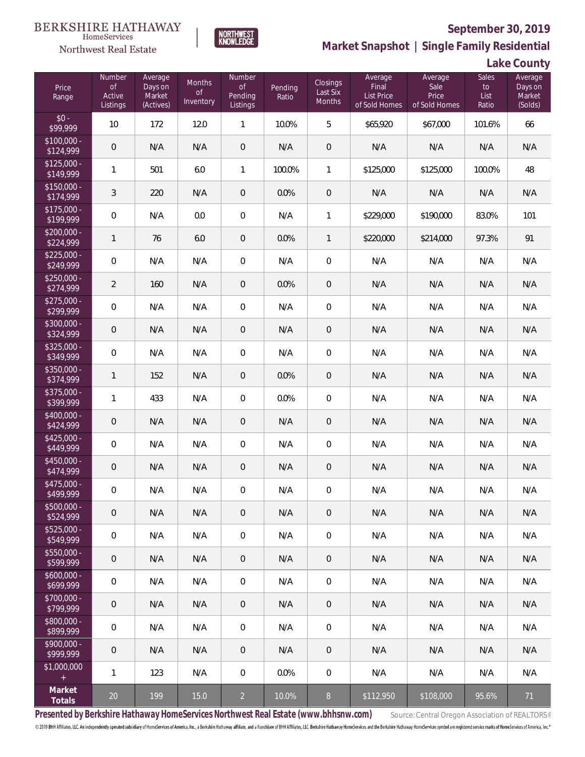

**NORTHWEST**<br>KNOWLEDGE

**Market Snapshot | Single Family Residential**

**Lake County**

| Price<br>Range            | Number<br>$\mathsf{of}$<br>Active<br>Listings | Average<br>Days on<br>Market<br>(Actives) | Months<br><b>of</b><br>Inventory | Number<br>$\mathsf{of}$<br>Pending<br>Listings | Pending<br>Ratio | Closings<br>Last Six<br>Months | Average<br>Final<br><b>List Price</b><br>of Sold Homes | Average<br>Sale<br>Price<br>of Sold Homes | Sales<br>$\mathsf{to}$<br>List<br>Ratio | Average<br>Days on<br>Market<br>(Solds) |
|---------------------------|-----------------------------------------------|-------------------------------------------|----------------------------------|------------------------------------------------|------------------|--------------------------------|--------------------------------------------------------|-------------------------------------------|-----------------------------------------|-----------------------------------------|
| $$0 -$<br>\$99,999        | 10                                            | 172                                       | 12.0                             | $\mathbf{1}$                                   | 10.0%            | 5                              | \$65,920                                               | \$67,000                                  | 101.6%                                  | 66                                      |
| $$100,000 -$<br>\$124,999 | $\mathbf 0$                                   | N/A                                       | N/A                              | $\theta$                                       | N/A              | $\overline{0}$                 | N/A                                                    | N/A                                       | N/A                                     | N/A                                     |
| $$125,000 -$<br>\$149,999 | $\mathbf{1}$                                  | 501                                       | 6.0                              | 1                                              | 100.0%           | 1                              | \$125,000                                              | \$125,000                                 | 100.0%                                  | 48                                      |
| $$150,000 -$<br>\$174,999 | $\mathfrak{Z}$                                | 220                                       | N/A                              | $\theta$                                       | 0.0%             | $\overline{0}$                 | N/A                                                    | N/A                                       | N/A                                     | N/A                                     |
| $$175,000 -$<br>\$199,999 | $\mathbf 0$                                   | N/A                                       | 0.0                              | $\mathbf 0$                                    | N/A              | 1                              | \$229,000                                              | \$190,000                                 | 83.0%                                   | 101                                     |
| $$200,000 -$<br>\$224,999 | $\mathbf{1}$                                  | 76                                        | 6.0                              | $\,0\,$                                        | 0.0%             | 1                              | \$220,000                                              | \$214,000                                 | 97.3%                                   | 91                                      |
| $$225,000 -$<br>\$249,999 | $\mathbf 0$                                   | N/A                                       | N/A                              | $\mathbf 0$                                    | N/A              | $\overline{0}$                 | N/A                                                    | N/A                                       | N/A                                     | N/A                                     |
| $$250,000 -$<br>\$274,999 | $\overline{2}$                                | 160                                       | N/A                              | $\,0\,$                                        | 0.0%             | $\overline{0}$                 | N/A                                                    | N/A                                       | N/A                                     | N/A                                     |
| $$275,000 -$<br>\$299,999 | $\mathbf 0$                                   | N/A                                       | N/A                              | $\mathbf 0$                                    | N/A              | $\mathbf 0$                    | N/A                                                    | N/A                                       | N/A                                     | N/A                                     |
| \$300,000 -<br>\$324,999  | $\overline{0}$                                | N/A                                       | N/A                              | $\theta$                                       | N/A              | $\overline{0}$                 | N/A                                                    | N/A                                       | N/A                                     | N/A                                     |
| $$325,000 -$<br>\$349,999 | $\mathbf 0$                                   | N/A                                       | N/A                              | 0                                              | N/A              | $\mathbf 0$                    | N/A                                                    | N/A                                       | N/A                                     | N/A                                     |
| \$350,000 -<br>\$374,999  | $\mathbf{1}$                                  | 152                                       | N/A                              | $\theta$                                       | 0.0%             | $\overline{0}$                 | N/A                                                    | N/A                                       | N/A                                     | N/A                                     |
| $$375,000 -$<br>\$399,999 | $\mathbf{1}$                                  | 433                                       | N/A                              | 0                                              | 0.0%             | $\mathbf 0$                    | N/A                                                    | N/A                                       | N/A                                     | N/A                                     |
| \$400,000 -<br>\$424,999  | $\mathbf 0$                                   | N/A                                       | N/A                              | $\theta$                                       | N/A              | $\overline{0}$                 | N/A                                                    | N/A                                       | N/A                                     | N/A                                     |
| $$425,000 -$<br>\$449,999 | $\mathbf 0$                                   | N/A                                       | N/A                              | 0                                              | N/A              | $\mathbf 0$                    | N/A                                                    | N/A                                       | N/A                                     | N/A                                     |
| $$450,000 -$<br>\$474,999 | $\mathbf 0$                                   | N/A                                       | N/A                              | $\theta$                                       | N/A              | $\overline{0}$                 | N/A                                                    | N/A                                       | N/A                                     | N/A                                     |
| \$475,000 -<br>\$499,999  | $\mathbf 0$                                   | N/A                                       | N/A                              | $\mathsf{O}\xspace$                            | N/A              | $\mathbf 0$                    | N/A                                                    | N/A                                       | N/A                                     | N/A                                     |
| $$500,000 -$<br>\$524,999 | $\theta$                                      | N/A                                       | N/A                              | $\theta$                                       | N/A              | $\overline{0}$                 | N/A                                                    | N/A                                       | N/A                                     | N/A                                     |
| $$525,000 -$<br>\$549,999 | $\mathbf 0$                                   | N/A                                       | N/A                              | 0                                              | N/A              | $\overline{0}$                 | N/A                                                    | N/A                                       | N/A                                     | N/A                                     |
| $$550,000 -$<br>\$599,999 | $\theta$                                      | N/A                                       | N/A                              | $\theta$                                       | N/A              | $\overline{0}$                 | N/A                                                    | N/A                                       | N/A                                     | N/A                                     |
| $$600,000 -$<br>\$699,999 | $\mathbf 0$                                   | N/A                                       | N/A                              | 0                                              | N/A              | $\mathbf 0$                    | N/A                                                    | N/A                                       | N/A                                     | N/A                                     |
| \$700,000 -<br>\$799,999  | $\theta$                                      | N/A                                       | N/A                              | $\theta$                                       | N/A              | $\overline{0}$                 | N/A                                                    | N/A                                       | N/A                                     | N/A                                     |
| $$800,000 -$<br>\$899,999 | $\mathbf 0$                                   | N/A                                       | N/A                              | 0                                              | N/A              | $\overline{0}$                 | N/A                                                    | N/A                                       | N/A                                     | N/A                                     |
| $$900,000 -$<br>\$999,999 | $\mathbf 0$                                   | N/A                                       | N/A                              | $\overline{0}$                                 | N/A              | $\mathbf 0$                    | N/A                                                    | N/A                                       | N/A                                     | N/A                                     |
| \$1,000,000<br>$\pm$      | $\mathbf{1}$                                  | 123                                       | N/A                              | 0                                              | 0.0%             | $\overline{0}$                 | N/A                                                    | N/A                                       | N/A                                     | N/A                                     |
| Market<br>Totals          | 20                                            | 199                                       | 15.0                             | $\overline{2}$                                 | 10.0%            | $8\phantom{1}$                 | \$112,950                                              | \$108,000                                 | 95.6%                                   | 71                                      |